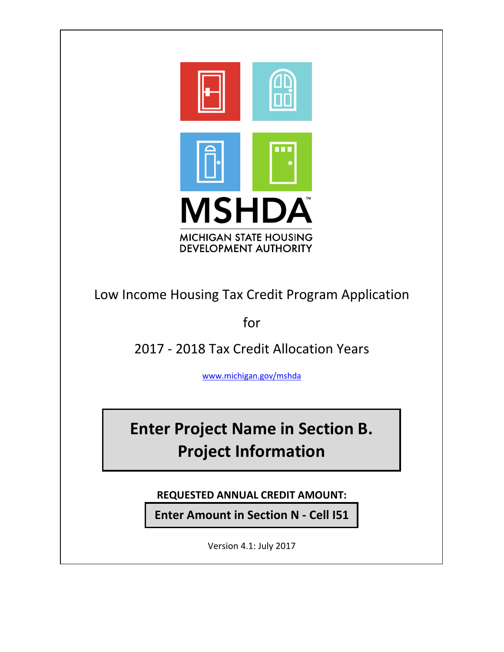

Low Income Housing Tax Credit Program Application

for

2017 ‐ 2018 Tax Credit Allocation Years

www.michigan.gov/mshda

**Enter Project Name in Section B. Project Information**

**REQUESTED ANNUAL CREDIT AMOUNT:**

**Enter Amount in Section N ‐ Cell I51**

Version 4.1: July 2017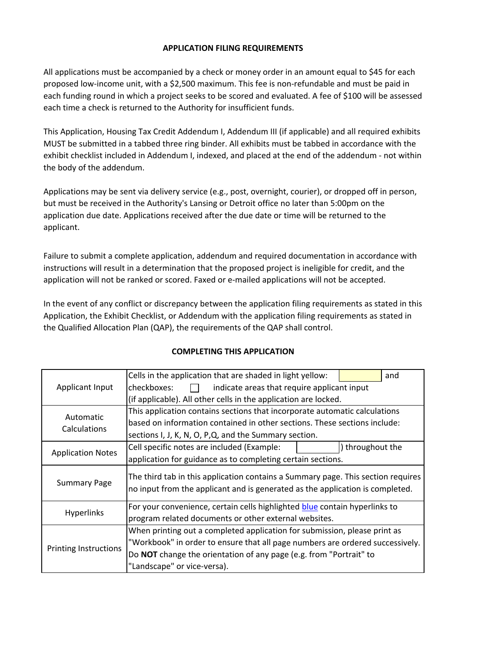#### **APPLICATION FILING REQUIREMENTS**

All applications must be accompanied by a check or money order in an amount equal to \$45 for each proposed low-income unit, with a \$2,500 maximum. This fee is non-refundable and must be paid in each funding round in which a project seeks to be scored and evaluated. A fee of \$100 will be assessed each time a check is returned to the Authority for insufficient funds.

This Application, Housing Tax Credit Addendum I, Addendum III (if applicable) and all required exhibits MUST be submitted in a tabbed three ring binder. All exhibits must be tabbed in accordance with the exhibit checklist included in Addendum I, indexed, and placed at the end of the addendum ‐ not within the body of the addendum.

Applications may be sent via delivery service (e.g., post, overnight, courier), or dropped off in person, but must be received in the Authority's Lansing or Detroit office no later than 5:00pm on the application due date. Applications received after the due date or time will be returned to the applicant.

Failure to submit a complete application, addendum and required documentation in accordance with instructions will result in a determination that the proposed project is ineligible for credit, and the application will not be ranked or scored. Faxed or e-mailed applications will not be accepted.

In the event of any conflict or discrepancy between the application filing requirements as stated in this Application, the Exhibit Checklist, or Addendum with the application filing requirements as stated in the Qualified Allocation Plan (QAP), the requirements of the QAP shall control.

|                              | Cells in the application that are shaded in light yellow:                                                                                                         |  | and            |  |
|------------------------------|-------------------------------------------------------------------------------------------------------------------------------------------------------------------|--|----------------|--|
| Applicant Input              | checkboxes:<br>indicate areas that require applicant input                                                                                                        |  |                |  |
|                              | (if applicable). All other cells in the application are locked.                                                                                                   |  |                |  |
| Automatic                    | This application contains sections that incorporate automatic calculations                                                                                        |  |                |  |
| <b>Calculations</b>          | based on information contained in other sections. These sections include:                                                                                         |  |                |  |
|                              | sections I, J, K, N, O, P, Q, and the Summary section.                                                                                                            |  |                |  |
| <b>Application Notes</b>     | Cell specific notes are included (Example:                                                                                                                        |  | throughout the |  |
|                              | application for guidance as to completing certain sections.                                                                                                       |  |                |  |
| <b>Summary Page</b>          | The third tab in this application contains a Summary page. This section requires<br>no input from the applicant and is generated as the application is completed. |  |                |  |
|                              | For your convenience, certain cells highlighted <b>blue</b> contain hyperlinks to                                                                                 |  |                |  |
| <b>Hyperlinks</b>            | program related documents or other external websites.                                                                                                             |  |                |  |
|                              | When printing out a completed application for submission, please print as                                                                                         |  |                |  |
| <b>Printing Instructions</b> | "Workbook" in order to ensure that all page numbers are ordered successively.                                                                                     |  |                |  |
|                              | Do NOT change the orientation of any page (e.g. from "Portrait" to                                                                                                |  |                |  |
|                              | "Landscape" or vice-versa).                                                                                                                                       |  |                |  |

# **COMPLETING THIS APPLICATION**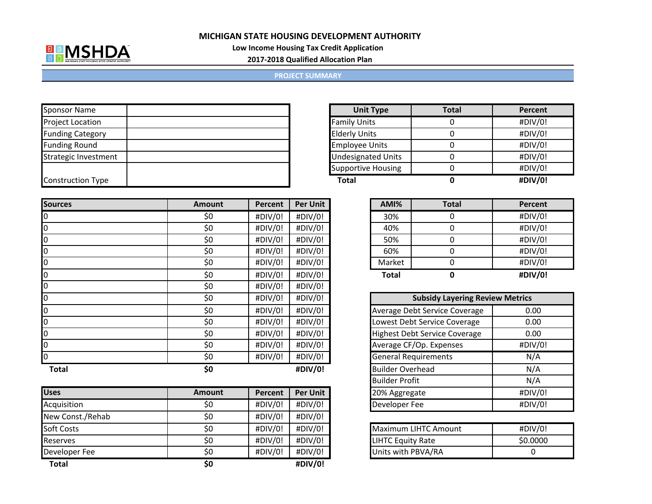

 $\mathbf{r}$ 

**Low Income Housing Tax Credit Application**

**2017‐2018 Qualified Allocation Plan**

#### **PROJECT SUMMARY**

| <b>Sponsor Name</b>      |  |
|--------------------------|--|
| <b>Project Location</b>  |  |
| <b>Funding Category</b>  |  |
| <b>Funding Round</b>     |  |
| Strategic Investment     |  |
|                          |  |
| <b>Construction Type</b> |  |

| <b>Sources</b>   | <b>Amount</b> | Percent | <b>Per Unit</b> | AMI%                        | <b>Total</b>                           | Percent |
|------------------|---------------|---------|-----------------|-----------------------------|----------------------------------------|---------|
| 0                | \$0           | #DIV/0! | #DIV/0!         | 30%                         | 0                                      | #DIV/0  |
| $\overline{0}$   | \$0           | #DIV/0! | #DIV/0!         | 40%                         | $\Omega$                               | #DIV/0  |
| 0                | \$0           | #DIV/0! | #DIV/0!         | 50%                         | 0                                      | #DIV/0  |
| $\boldsymbol{0}$ | \$0           | #DIV/0! | #DIV/0!         | 60%                         | $\Omega$                               | #DIV/0  |
| 0                | \$0           | #DIV/0! | #DIV/0!         | Market                      | $\Omega$                               | #DIV/0  |
| 0                | \$0           | #DIV/0! | #DIV/0!         | <b>Total</b>                | 0                                      | #DIV/0  |
| 0                | \$0           | #DIV/0! | #DIV/0!         |                             |                                        |         |
| 0                | \$0           | #DIV/0! | #DIV/0!         |                             | <b>Subsidy Layering Review Metrics</b> |         |
| 0                | \$0           | #DIV/0! | #DIV/0!         |                             | Average Debt Service Coverage          | 0.00    |
| 0                | \$0           | #DIV/0! | #DIV/0!         |                             | Lowest Debt Service Coverage           | 0.00    |
| 0                | \$0           | #DIV/0! | #DIV/0!         |                             | <b>Highest Debt Service Coverage</b>   | 0.00    |
| 0                | \$0           | #DIV/0! | #DIV/0!         |                             | Average CF/Op. Expenses                | #DIV/0  |
| l0               | \$0           | #DIV/0! | #DIV/0!         | <b>General Requirements</b> |                                        | N/A     |
| <b>Total</b>     | \$0           |         | #DIV/0!         | <b>Builder Overhead</b>     |                                        | N/A     |

| <b>Uses</b>       | <b>Amount</b> | Percent | <b>Per Unit</b> |
|-------------------|---------------|---------|-----------------|
| Acquisition       | \$0           | #DIV/0! | #DIV/0!         |
| New Const./Rehab  | \$0           | #DIV/0! | #DIV/0!         |
| <b>Soft Costs</b> | \$0           | #DIV/0! | #DIV/0!         |
| Reserves          | \$0           | #DIV/0! | #DIV/0!         |
| Developer Fee     | \$0           | #DIV/0! | #DIV/0!         |
| <b>Total</b>      | \$0           |         | #DIV/0!         |

| <b>Unit Type</b>          | <b>Total</b> | Percent |
|---------------------------|--------------|---------|
| <b>Family Units</b>       |              | #DIV/0! |
| <b>Elderly Units</b>      |              | #DIV/0! |
| <b>Employee Units</b>     |              | #DIV/0! |
| <b>Undesignated Units</b> |              | #DIV/0! |
| <b>Supportive Housing</b> |              | #DIV/0! |
| Total                     |              | #DIV/0! |

| r Unit | AMI%         | <b>Total</b> | Percent |
|--------|--------------|--------------|---------|
| JIV/0! | 30%          |              | #DIV/0! |
| JIV/0! | 40%          |              | #DIV/0! |
| JIV/0! | 50%          |              | #DIV/0! |
| JIV/0! | 60%          |              | #DIV/0! |
| IV/0!  | Market       |              | #DIV/0! |
| IV/0!  | <b>Total</b> |              | #DIV/0! |

| <b>Subsidy Layering Review Metrics</b> |         |  |  |  |
|----------------------------------------|---------|--|--|--|
| Average Debt Service Coverage          | 0.00    |  |  |  |
| Lowest Debt Service Coverage           | 0.00    |  |  |  |
| <b>Highest Debt Service Coverage</b>   | 0.00    |  |  |  |
| Average CF/Op. Expenses                | #DIV/0! |  |  |  |
| <b>General Requirements</b>            | N/A     |  |  |  |
| <b>Builder Overhead</b>                | N/A     |  |  |  |
| <b>Builder Profit</b>                  | N/A     |  |  |  |
| 20% Aggregate                          | #DIV/0! |  |  |  |
| Developer Fee                          | #DIV/0! |  |  |  |

| Maximum LIHTC Amount     | #DIV/0!  |
|--------------------------|----------|
| <b>LIHTC Equity Rate</b> | \$0.0000 |
| Units with PBVA/RA       |          |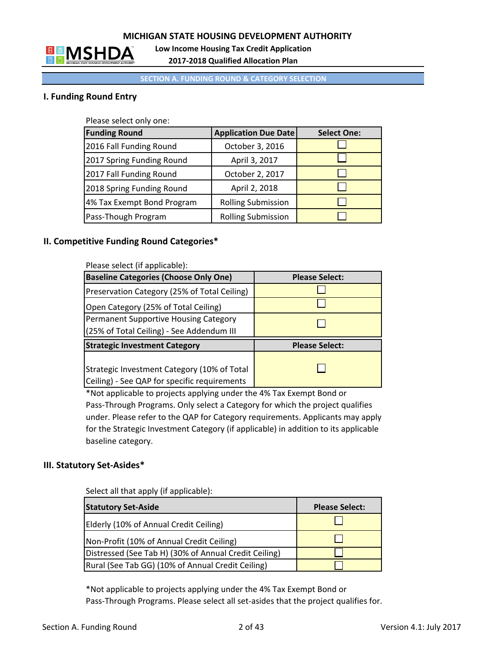

**Low Income Housing Tax Credit Application**

**2017‐2018 Qualified Allocation Plan**

#### **SECTION A. FUNDING ROUND & CATEGORY SELECTION**

# **I. Funding Round Entry**

Please select only one:

| <b>Funding Round</b>       | <b>Application Due Date</b> | <b>Select One:</b> |
|----------------------------|-----------------------------|--------------------|
| 2016 Fall Funding Round    | October 3, 2016             |                    |
| 2017 Spring Funding Round  | April 3, 2017               |                    |
| 2017 Fall Funding Round    | October 2, 2017             |                    |
| 2018 Spring Funding Round  | April 2, 2018               |                    |
| 4% Tax Exempt Bond Program | <b>Rolling Submission</b>   |                    |
| Pass-Though Program        | <b>Rolling Submission</b>   |                    |

#### **II. Competitive Funding Round Categories\***

| Please select (if applicable):                                                              |                       |
|---------------------------------------------------------------------------------------------|-----------------------|
| <b>Baseline Categories (Choose Only One)</b>                                                | <b>Please Select:</b> |
| Preservation Category (25% of Total Ceiling)                                                |                       |
| Open Category (25% of Total Ceiling)                                                        |                       |
| Permanent Supportive Housing Category                                                       |                       |
| (25% of Total Ceiling) - See Addendum III                                                   |                       |
| <b>Strategic Investment Category</b>                                                        | <b>Please Select:</b> |
| Strategic Investment Category (10% of Total<br>Ceiling) - See QAP for specific requirements |                       |

\*Not applicable to projects applying under the 4% Tax Exempt Bond or Pass‐Through Programs. Only select a Category for which the project qualifies under. Please refer to the QAP for Category requirements. Applicants may apply for the Strategic Investment Category (if applicable) in addition to its applicable baseline category.

# **III. Statutory Set‐Asides\***

Select all that apply (if applicable):

| <b>Statutory Set-Aside</b>                            | <b>Please Select:</b> |
|-------------------------------------------------------|-----------------------|
| Elderly (10% of Annual Credit Ceiling)                |                       |
| Non-Profit (10% of Annual Credit Ceiling)             |                       |
| Distressed (See Tab H) (30% of Annual Credit Ceiling) |                       |
| Rural (See Tab GG) (10% of Annual Credit Ceiling)     |                       |

\*Not applicable to projects applying under the 4% Tax Exempt Bond or Pass‐Through Programs. Please select all set‐asides that the project qualifies for.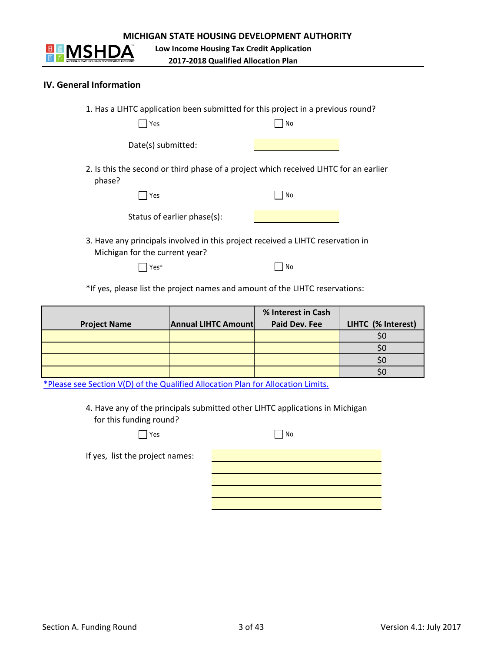

**Low Income Housing Tax Credit Application**

**2017‐2018 Qualified Allocation Plan**

#### **IV. General Information**

| 1. Has a LIHTC application been submitted for this project in a previous round?<br>Yes                            | No |
|-------------------------------------------------------------------------------------------------------------------|----|
| Date(s) submitted:                                                                                                |    |
| 2. Is this the second or third phase of a project which received LIHTC for an earlier<br>phase?                   |    |
| Yes                                                                                                               | No |
| Status of earlier phase(s):                                                                                       |    |
| 3. Have any principals involved in this project received a LIHTC reservation in<br>Michigan for the current year? |    |
| ∕ ہ<*                                                                                                             | No |

\*If yes, please list the project names and amount of the LIHTC reservations:

|                     |                            | % Interest in Cash |                    |
|---------------------|----------------------------|--------------------|--------------------|
| <b>Project Name</b> | <b>Annual LIHTC Amount</b> | Paid Dev. Fee      | LIHTC (% Interest) |
|                     |                            |                    | SC                 |
|                     |                            |                    | SC                 |
|                     |                            |                    | SC                 |
|                     |                            |                    | эı                 |

\*Please see Section V(D) of the Qualified Allocation Plan for Allocation Limits.

4. Have any of the principals submitted other LIHTC applications in Michigan for this funding round?

| Yes                             | No |
|---------------------------------|----|
| If yes, list the project names: |    |
|                                 |    |
|                                 |    |
|                                 |    |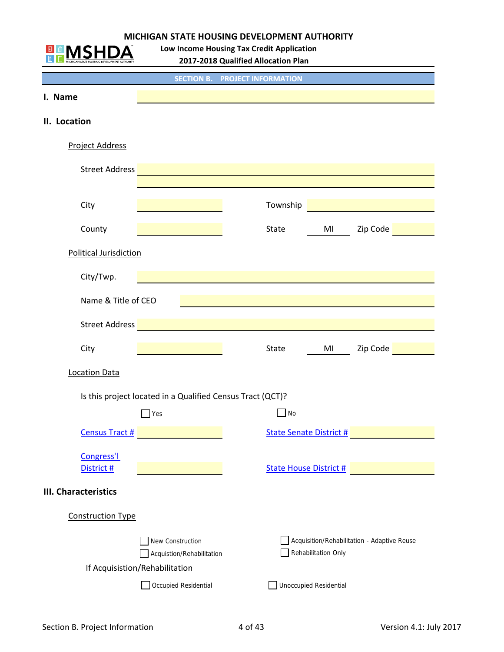

**Low Income Housing Tax Credit Application**

**2017‐2018 Qualified Allocation Plan**

|                             |                                                             | <b>SECTION B. PROJECT INFORMATION</b>                                                                                 |                                |                                             |
|-----------------------------|-------------------------------------------------------------|-----------------------------------------------------------------------------------------------------------------------|--------------------------------|---------------------------------------------|
| I. Name                     |                                                             |                                                                                                                       |                                |                                             |
| II. Location                |                                                             |                                                                                                                       |                                |                                             |
| <b>Project Address</b>      |                                                             |                                                                                                                       |                                |                                             |
| <b>Street Address</b>       |                                                             | <u> 1989 - Johann Barn, mars ann an t-Amhain an t-Amhain an t-Amhain an t-Amhain an t-Amhain an t-Amhain an t-Amh</u> |                                |                                             |
|                             |                                                             |                                                                                                                       |                                |                                             |
| City                        |                                                             | Township                                                                                                              |                                |                                             |
| County                      |                                                             | State                                                                                                                 | MI                             | Zip Code                                    |
| Political Jurisdiction      |                                                             |                                                                                                                       |                                |                                             |
| City/Twp.                   |                                                             |                                                                                                                       |                                |                                             |
| Name & Title of CEO         |                                                             |                                                                                                                       |                                |                                             |
|                             |                                                             |                                                                                                                       |                                |                                             |
| Street Address              |                                                             |                                                                                                                       |                                |                                             |
| City                        |                                                             | State                                                                                                                 | MI                             | Zip Code                                    |
| <b>Location Data</b>        |                                                             |                                                                                                                       |                                |                                             |
|                             | Is this project located in a Qualified Census Tract (QCT)?  |                                                                                                                       |                                |                                             |
|                             | Yes                                                         | No                                                                                                                    |                                |                                             |
| <b>Census Tract #</b>       |                                                             |                                                                                                                       | <b>State Senate District #</b> |                                             |
| Congress'l                  |                                                             |                                                                                                                       |                                |                                             |
| District #                  |                                                             |                                                                                                                       | <b>State House District #</b>  |                                             |
| <b>III. Characteristics</b> |                                                             |                                                                                                                       |                                |                                             |
| <b>Construction Type</b>    |                                                             |                                                                                                                       |                                |                                             |
|                             | New Construction                                            |                                                                                                                       |                                | Acquisition/Rehabilitation - Adaptive Reuse |
|                             | Acquistion/Rehabilitation<br>If Acquisistion/Rehabilitation |                                                                                                                       | Rehabilitation Only            |                                             |
|                             | Occupied Residential                                        |                                                                                                                       | <b>Unoccupied Residential</b>  |                                             |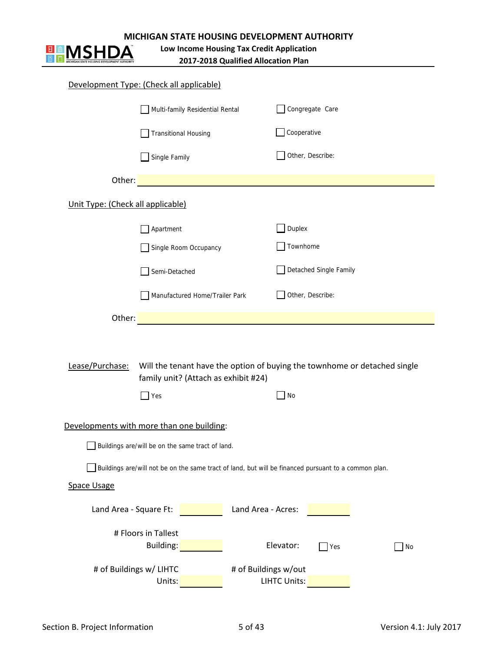

# **MICHIGAN STATE HOUSING DEVELOPMENT AUTHORITY**<br> **MICHIGAN** Low Income Housing Tax Credit Application<br>
2017-2018 Qualified Allocation Plan

# **Low Income Housing Tax Credit Application**

**2017‐2018 Qualified Allocation Plan**

|                                   | Development Type: (Check all applicable)         |                                                                                                      |
|-----------------------------------|--------------------------------------------------|------------------------------------------------------------------------------------------------------|
|                                   | Multi-family Residential Rental                  | Congregate Care                                                                                      |
|                                   | <b>Transitional Housing</b>                      | Cooperative                                                                                          |
|                                   | Single Family                                    | Other, Describe:                                                                                     |
| Other:                            |                                                  |                                                                                                      |
| Unit Type: (Check all applicable) |                                                  |                                                                                                      |
|                                   | Apartment                                        | Duplex                                                                                               |
|                                   | Single Room Occupancy                            | Townhome                                                                                             |
|                                   | Semi-Detached                                    | Detached Single Family                                                                               |
|                                   | Manufactured Home/Trailer Park                   | Other, Describe:                                                                                     |
| Other:                            |                                                  |                                                                                                      |
| Lease/Purchase:                   | family unit? (Attach as exhibit #24)             | Will the tenant have the option of buying the townhome or detached single                            |
|                                   | $\Box$ Yes                                       | No                                                                                                   |
|                                   | Developments with more than one building:        |                                                                                                      |
|                                   | Buildings are/will be on the same tract of land. |                                                                                                      |
|                                   |                                                  | Buildings are/will not be on the same tract of land, but will be financed pursuant to a common plan. |
| <b>Space Usage</b>                |                                                  |                                                                                                      |
| Land Area - Square Ft:            |                                                  | Land Area - Acres:                                                                                   |
|                                   | # Floors in Tallest<br>Building:                 | Elevator:<br>Yes<br>No                                                                               |
| # of Buildings w/ LIHTC           |                                                  | # of Buildings w/out                                                                                 |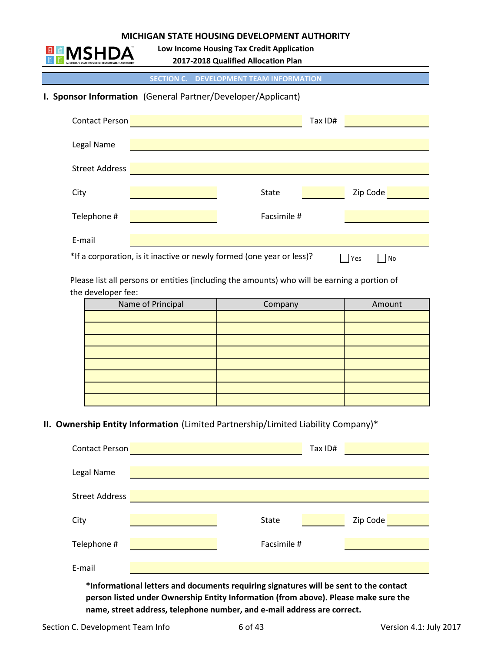

**Low Income Housing Tax Credit Application**

**2017‐2018 Qualified Allocation Plan**

**SECTION C. DEVELOPMENT TEAM INFORMATION**

# **I. Sponsor Information** (General Partner/Developer/Applicant)

| <b>Contact Person</b> |                                                                       | Tax ID# |           |  |
|-----------------------|-----------------------------------------------------------------------|---------|-----------|--|
| Legal Name            |                                                                       |         |           |  |
| <b>Street Address</b> |                                                                       |         |           |  |
| City                  | <b>State</b>                                                          |         | Zip Code  |  |
| Telephone #           | Facsimile #                                                           |         |           |  |
|                       |                                                                       |         |           |  |
| E-mail                | *If a corporation, is it inactive or newly formed (one year or less)? |         | Yes<br>No |  |

 Please list all persons or entities (including the amounts) who will be earning a portion of the developer fee:

| Name of Principal | Company | Amount |
|-------------------|---------|--------|
|                   |         |        |
|                   |         |        |
|                   |         |        |
|                   |         |        |
|                   |         |        |
|                   |         |        |
|                   |         |        |
|                   |         |        |

# **II. Ownership Entity Information** (Limited Partnership/Limited Liability Company)\*

| <b>Contact Person</b> |                                                                                       |              | Tax ID# |          |  |
|-----------------------|---------------------------------------------------------------------------------------|--------------|---------|----------|--|
| Legal Name            |                                                                                       |              |         |          |  |
| <b>Street Address</b> |                                                                                       |              |         |          |  |
| City                  |                                                                                       | <b>State</b> |         | Zip Code |  |
| Telephone #           |                                                                                       | Facsimile #  |         |          |  |
| E-mail                |                                                                                       |              |         |          |  |
|                       | *Informational letters and documents requiring signatures will be sent to the contact |              |         |          |  |

**person listed under Ownership Entity Information (from above). Please make sure the name, street address, telephone number, and e‐mail address are correct.**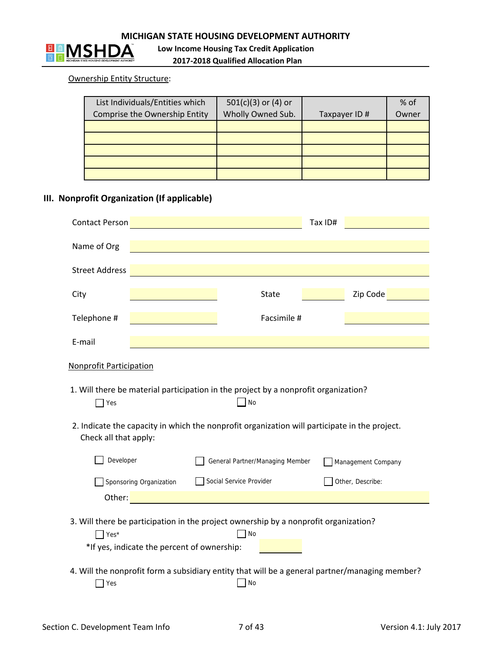

# Ownership Entity Structure:

| List Individuals/Entities which | $501(c)(3)$ or (4) or |               | % of  |
|---------------------------------|-----------------------|---------------|-------|
| Comprise the Ownership Entity   | Wholly Owned Sub.     | Taxpayer ID # | Owner |
|                                 |                       |               |       |
|                                 |                       |               |       |
|                                 |                       |               |       |
|                                 |                       |               |       |
|                                 |                       |               |       |

# **III. Nonprofit Organization (If applicable)**

|                                              |                         |                                                                                                                                                                                                                                | Tax ID# |                    |
|----------------------------------------------|-------------------------|--------------------------------------------------------------------------------------------------------------------------------------------------------------------------------------------------------------------------------|---------|--------------------|
| Name of Org                                  |                         |                                                                                                                                                                                                                                |         |                    |
| <b>Street Address</b>                        |                         |                                                                                                                                                                                                                                |         |                    |
| City                                         |                         | <b>State</b>                                                                                                                                                                                                                   |         | Zip Code           |
| Telephone #                                  |                         | Facsimile #                                                                                                                                                                                                                    |         |                    |
| E-mail                                       |                         |                                                                                                                                                                                                                                |         |                    |
| <b>Nonprofit Participation</b><br>$\Box$ Yes |                         | 1. Will there be material participation in the project by a nonprofit organization?<br>No                                                                                                                                      |         |                    |
| Check all that apply:<br>Developer           |                         | 2. Indicate the capacity in which the nonprofit organization will participate in the project.<br>General Partner/Managing Member                                                                                               |         | Management Company |
|                                              | Sponsoring Organization | Social Service Provider                                                                                                                                                                                                        |         | Other, Describe:   |
|                                              |                         | Other: with a company of the company of the company of the company of the company of the company of the company of the company of the company of the company of the company of the company of the company of the company of th |         |                    |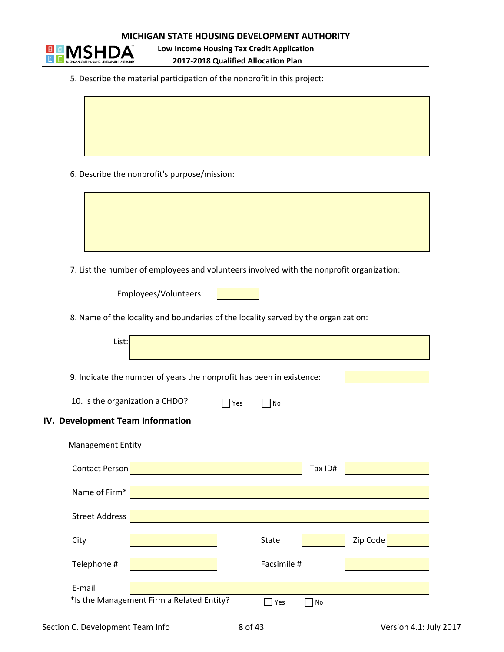

**2017‐2018 Qualified Allocation Plan Low Income Housing Tax Credit Application**

5. Describe the material participation of the nonprofit in this project:

6. Describe the nonprofit's purpose/mission:

7. List the number of employees and volunteers involved with the nonprofit organization:

Employees/Volunteers:

8. Name of the locality and boundaries of the locality served by the organization:

| List:                            |                                                                      |     |                   |         |          |
|----------------------------------|----------------------------------------------------------------------|-----|-------------------|---------|----------|
|                                  | 9. Indicate the number of years the nonprofit has been in existence: |     |                   |         |          |
| 10. Is the organization a CHDO?  |                                                                      | Yes | $\blacksquare$ No |         |          |
| IV. Development Team Information |                                                                      |     |                   |         |          |
| <b>Management Entity</b>         |                                                                      |     |                   |         |          |
| <b>Contact Person</b>            |                                                                      |     |                   | Tax ID# |          |
| Name of Firm*                    |                                                                      |     |                   |         |          |
| <b>Street Address</b>            |                                                                      |     |                   |         |          |
| City                             |                                                                      |     | <b>State</b>      |         | Zip Code |
| Telephone #                      |                                                                      |     | Facsimile #       |         |          |
| E-mail                           |                                                                      |     |                   |         |          |
|                                  | *Is the Management Firm a Related Entity?                            |     | Yes               | No      |          |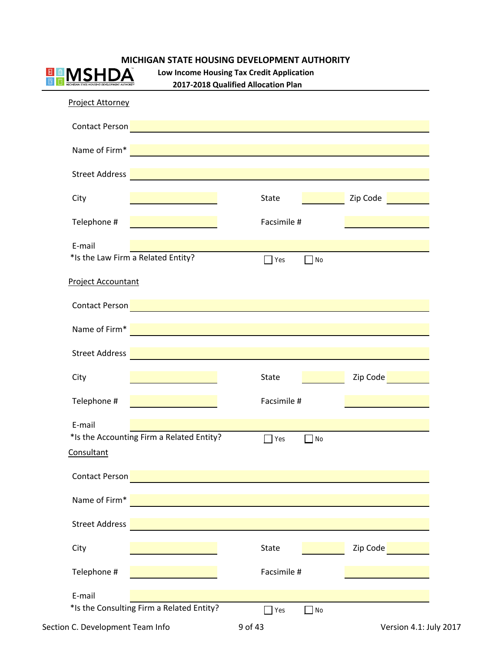|                           |                                                                                                                                                                                                                                    | Low Income Housing Tax Credit Application<br>2017-2018 Qualified Allocation Plan |           |                                                      |
|---------------------------|------------------------------------------------------------------------------------------------------------------------------------------------------------------------------------------------------------------------------------|----------------------------------------------------------------------------------|-----------|------------------------------------------------------|
| <b>Project Attorney</b>   |                                                                                                                                                                                                                                    |                                                                                  |           |                                                      |
| Contact Person            |                                                                                                                                                                                                                                    |                                                                                  |           |                                                      |
| Name of Firm*             | <u> 1989 - Jan Sterling von Berger von Berger von Berger von Berger von Berger von Berger von Berger von Berger</u>                                                                                                                |                                                                                  |           |                                                      |
| <b>Street Address</b>     |                                                                                                                                                                                                                                    |                                                                                  |           |                                                      |
| City                      |                                                                                                                                                                                                                                    | <b>State</b>                                                                     |           | Zip Code                                             |
| Telephone #               |                                                                                                                                                                                                                                    | Facsimile #                                                                      |           |                                                      |
| E-mail                    |                                                                                                                                                                                                                                    |                                                                                  |           |                                                      |
|                           | *Is the Law Firm a Related Entity?                                                                                                                                                                                                 | $\exists$ Yes                                                                    | $\Box$ No |                                                      |
| <b>Project Accountant</b> |                                                                                                                                                                                                                                    |                                                                                  |           |                                                      |
| Contact Person            |                                                                                                                                                                                                                                    |                                                                                  |           |                                                      |
| Name of Firm*             |                                                                                                                                                                                                                                    |                                                                                  |           |                                                      |
| <b>Street Address</b>     |                                                                                                                                                                                                                                    |                                                                                  |           |                                                      |
| City                      |                                                                                                                                                                                                                                    | <b>State</b>                                                                     |           | Zip Code                                             |
| Telephone #               |                                                                                                                                                                                                                                    | Facsimile #                                                                      |           |                                                      |
| E-mail                    |                                                                                                                                                                                                                                    |                                                                                  |           |                                                      |
|                           |                                                                                                                                                                                                                                    |                                                                                  |           |                                                      |
| Consultant                | *Is the Accounting Firm a Related Entity?                                                                                                                                                                                          | Yes                                                                              | $\Box$ No |                                                      |
| Contact Person            |                                                                                                                                                                                                                                    |                                                                                  |           |                                                      |
|                           | Name of Firm* <b>The Community of Second Community</b> and Community and Community and Community and Community and Community and Community and Community and Community and Community and Community and Community and Community and |                                                                                  |           |                                                      |
| <b>Street Address</b>     |                                                                                                                                                                                                                                    |                                                                                  |           |                                                      |
| City                      |                                                                                                                                                                                                                                    | State                                                                            |           | Zip Code <b>Communist Contract Contract Contract</b> |
| Telephone #               |                                                                                                                                                                                                                                    | Facsimile #                                                                      |           |                                                      |
|                           |                                                                                                                                                                                                                                    |                                                                                  |           |                                                      |
| E-mail                    |                                                                                                                                                                                                                                    |                                                                                  |           |                                                      |
|                           | *Is the Consulting Firm a Related Entity?                                                                                                                                                                                          | $\Box$ Yes                                                                       | $\Box$ No |                                                      |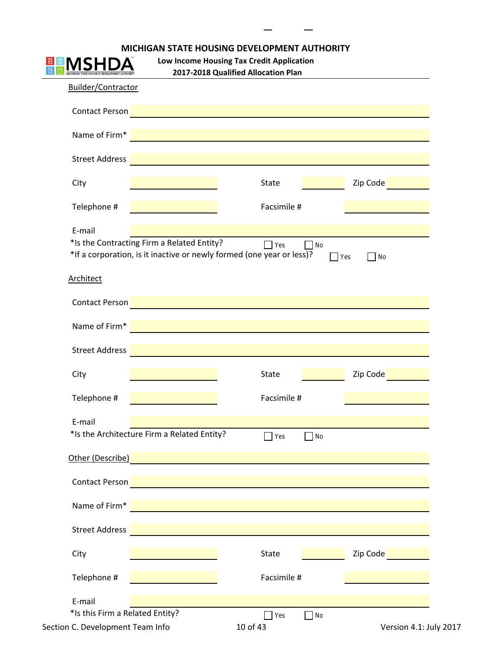|                                                      | <b>MICHIGAN STATE HOUSING DEVELOPMENT AUTHORITY</b>                              |                                 |                         |
|------------------------------------------------------|----------------------------------------------------------------------------------|---------------------------------|-------------------------|
|                                                      | Low Income Housing Tax Credit Application<br>2017-2018 Qualified Allocation Plan |                                 |                         |
| Builder/Contractor                                   |                                                                                  |                                 |                         |
| <b>Contact Person</b>                                | <u> 1980 - Jan Barnett, fransk politiker (d. 1980)</u>                           |                                 |                         |
| Name of Firm*                                        |                                                                                  |                                 |                         |
| <b>Street Address</b>                                |                                                                                  |                                 |                         |
| City                                                 |                                                                                  | State                           | Zip Code                |
| Telephone #                                          |                                                                                  | Facsimile #                     |                         |
| E-mail<br>*Is the Contracting Firm a Related Entity? | *If a corporation, is it inactive or newly formed (one year or less)?            | $\Box$ Yes<br>$\Box$ No         | $\Box$ No<br>$\Box$ Yes |
| <b>Architect</b>                                     |                                                                                  |                                 |                         |
| Contact Person                                       |                                                                                  |                                 |                         |
| Name of Firm*                                        |                                                                                  |                                 |                         |
| <b>Street Address</b>                                |                                                                                  |                                 |                         |
| City                                                 |                                                                                  | State                           | Zip Code                |
| Telephone #                                          |                                                                                  | Facsimile #                     |                         |
| E-mail                                               |                                                                                  |                                 |                         |
| *Is the Architecture Firm a Related Entity?          |                                                                                  | $\Box$ Yes<br>No                |                         |
| Other (Describe)                                     |                                                                                  |                                 |                         |
| Contact Person                                       |                                                                                  |                                 |                         |
| Name of Firm*                                        |                                                                                  |                                 |                         |
| <b>Street Address</b>                                |                                                                                  |                                 |                         |
| City                                                 |                                                                                  | State                           | Zip Code                |
| Telephone #                                          |                                                                                  | Facsimile #                     |                         |
| E-mail                                               |                                                                                  |                                 |                         |
| *Is this Firm a Related Entity?                      |                                                                                  | $\blacksquare$ Yes<br>$\Box$ No |                         |
| Section C. Development Team Info                     |                                                                                  | 10 of 43                        | Version 4.1: July 2017  |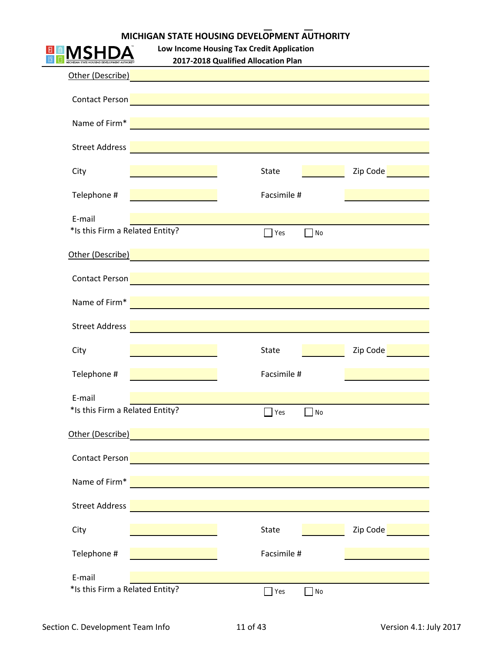| MICHIGAN STATE HOUSING DEVELOPMENT AUTHORITY |
|----------------------------------------------|

**Low Income Housing Tax Credit Application 2017‐2018 Qualified Allocation Plan**

|                       |                                                                                                                                                                                                                                      | $\sim$ 2010 Quanned Anocation Fig.1                      |          |
|-----------------------|--------------------------------------------------------------------------------------------------------------------------------------------------------------------------------------------------------------------------------------|----------------------------------------------------------|----------|
|                       | <u>Other (Describe) and the contract of the contract of the contract of the contract of the contract of the contract of the contract of the contract of the contract of the contract of the contract of the contract of the cont</u> |                                                          |          |
|                       |                                                                                                                                                                                                                                      |                                                          |          |
|                       | Contact Person <b>Product of the Contact Person Product 2019</b>                                                                                                                                                                     |                                                          |          |
| Name of Firm*         |                                                                                                                                                                                                                                      | <u> 1980 - Jan Stein, Amerikaansk politiker († 1908)</u> |          |
|                       |                                                                                                                                                                                                                                      |                                                          |          |
| Street Address        |                                                                                                                                                                                                                                      |                                                          |          |
| City                  |                                                                                                                                                                                                                                      | State                                                    | Zip Code |
|                       |                                                                                                                                                                                                                                      |                                                          |          |
| Telephone #           |                                                                                                                                                                                                                                      | Facsimile #                                              |          |
| E-mail                |                                                                                                                                                                                                                                      |                                                          |          |
|                       | *Is this Firm a Related Entity?                                                                                                                                                                                                      | $\Box$ Yes<br><b>No</b>                                  |          |
|                       | other (Describe) and the contract of the contract of the contract of the contract of the contract of the contract of the contract of the contract of the contract of the contract of the contract of the contract of the contr       |                                                          |          |
|                       |                                                                                                                                                                                                                                      |                                                          |          |
|                       | Contact Person <b>Contact Person Contact Person</b> Contact Person and Contact Person Contact Person Contact Person                                                                                                                  |                                                          |          |
|                       | Name of Firm* <u>Name and Southern Community of the Southern Community of the Southern Community of the Southern Community of the Southern Community of the Southern Community of the Southern Community of the Southern Communi</u> |                                                          |          |
|                       |                                                                                                                                                                                                                                      |                                                          |          |
|                       | Street Address <b>Committee Committee Committee Committee Committee Committee Committee Committee Committee Commi</b>                                                                                                                |                                                          |          |
| City                  |                                                                                                                                                                                                                                      | <b>State</b>                                             | Zip Code |
|                       |                                                                                                                                                                                                                                      |                                                          |          |
| Telephone #           |                                                                                                                                                                                                                                      | Facsimile #                                              |          |
| E-mail                |                                                                                                                                                                                                                                      |                                                          |          |
|                       | *Is this Firm a Related Entity?                                                                                                                                                                                                      | Yes<br>No                                                |          |
|                       |                                                                                                                                                                                                                                      |                                                          |          |
| Other (Describe)      |                                                                                                                                                                                                                                      |                                                          |          |
| Contact Person        |                                                                                                                                                                                                                                      |                                                          |          |
| Name of Firm*         |                                                                                                                                                                                                                                      |                                                          |          |
|                       |                                                                                                                                                                                                                                      |                                                          |          |
| <b>Street Address</b> |                                                                                                                                                                                                                                      |                                                          |          |
|                       |                                                                                                                                                                                                                                      |                                                          |          |
| City                  |                                                                                                                                                                                                                                      | State                                                    | Zip Code |
| Telephone #           |                                                                                                                                                                                                                                      | Facsimile #                                              |          |
| E-mail                |                                                                                                                                                                                                                                      |                                                          |          |
|                       | *Is this Firm a Related Entity?                                                                                                                                                                                                      | Yes<br>No                                                |          |
|                       |                                                                                                                                                                                                                                      |                                                          |          |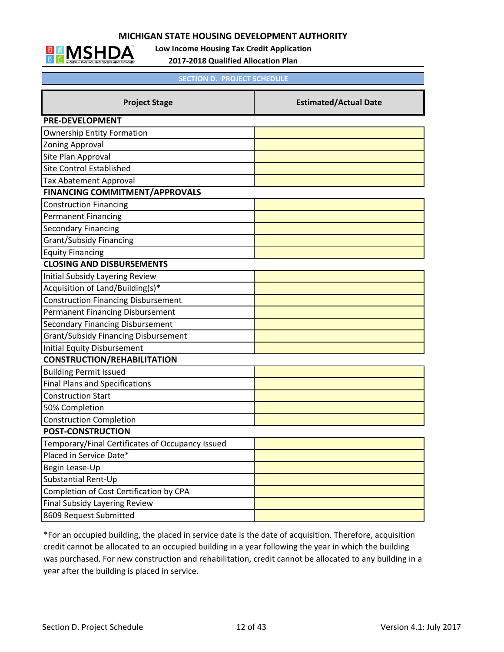

**Low Income Housing Tax Credit Application**

**2017‐2018 Qualified Allocation Plan**

|                                                  | <b>SECTION D. PROJECT SCHEDULE</b> |  |  |  |  |
|--------------------------------------------------|------------------------------------|--|--|--|--|
| <b>Project Stage</b>                             | <b>Estimated/Actual Date</b>       |  |  |  |  |
| <b>PRE-DEVELOPMENT</b>                           |                                    |  |  |  |  |
| <b>Ownership Entity Formation</b>                |                                    |  |  |  |  |
| <b>Zoning Approval</b>                           |                                    |  |  |  |  |
| Site Plan Approval                               |                                    |  |  |  |  |
| <b>Site Control Established</b>                  |                                    |  |  |  |  |
| <b>Tax Abatement Approval</b>                    |                                    |  |  |  |  |
| <b>FINANCING COMMITMENT/APPROVALS</b>            |                                    |  |  |  |  |
| <b>Construction Financing</b>                    |                                    |  |  |  |  |
| <b>Permanent Financing</b>                       |                                    |  |  |  |  |
| <b>Secondary Financing</b>                       |                                    |  |  |  |  |
| <b>Grant/Subsidy Financing</b>                   |                                    |  |  |  |  |
| <b>Equity Financing</b>                          |                                    |  |  |  |  |
| <b>CLOSING AND DISBURSEMENTS</b>                 |                                    |  |  |  |  |
| <b>Initial Subsidy Layering Review</b>           |                                    |  |  |  |  |
| Acquisition of Land/Building(s)*                 |                                    |  |  |  |  |
| <b>Construction Financing Disbursement</b>       |                                    |  |  |  |  |
| Permanent Financing Disbursement                 |                                    |  |  |  |  |
| <b>Secondary Financing Disbursement</b>          |                                    |  |  |  |  |
| <b>Grant/Subsidy Financing Disbursement</b>      |                                    |  |  |  |  |
| <b>Initial Equity Disbursement</b>               |                                    |  |  |  |  |
| <b>CONSTRUCTION/REHABILITATION</b>               |                                    |  |  |  |  |
| <b>Building Permit Issued</b>                    |                                    |  |  |  |  |
| <b>Final Plans and Specifications</b>            |                                    |  |  |  |  |
| <b>Construction Start</b>                        |                                    |  |  |  |  |
| 50% Completion                                   |                                    |  |  |  |  |
| <b>Construction Completion</b>                   |                                    |  |  |  |  |
| <b>POST-CONSTRUCTION</b>                         |                                    |  |  |  |  |
| Temporary/Final Certificates of Occupancy Issued |                                    |  |  |  |  |
| Placed in Service Date*                          |                                    |  |  |  |  |
| Begin Lease-Up                                   |                                    |  |  |  |  |
| Substantial Rent-Up                              |                                    |  |  |  |  |
| Completion of Cost Certification by CPA          |                                    |  |  |  |  |
| Final Subsidy Layering Review                    |                                    |  |  |  |  |
| 8609 Request Submitted                           |                                    |  |  |  |  |

\*For an occupied building, the placed in service date is the date of acquisition. Therefore, acquisition credit cannot be allocated to an occupied building in a year following the year in which the building was purchased. For new construction and rehabilitation, credit cannot be allocated to any building in a year after the building is placed in service.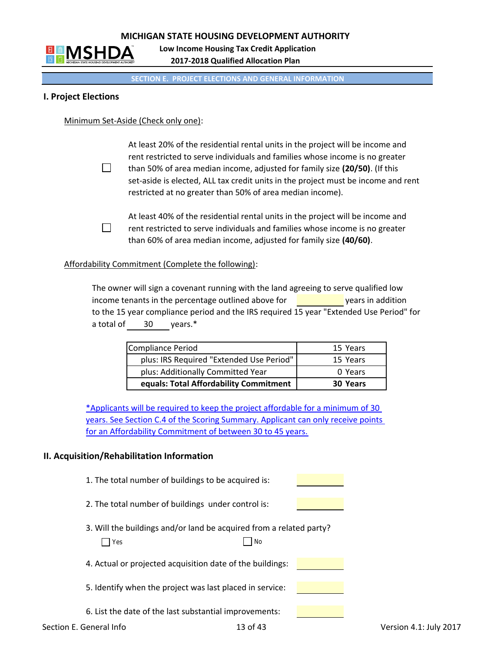

**2017‐2018 Qualified Allocation Plan Low Income Housing Tax Credit Application**

#### **SECTION E. PROJECT ELECTIONS AND GENERAL INFORMATION**

## **I. Project Elections**

Minimum Set‐Aside (Check only one):

 $\Box$ 

 At least 20% of the residential rental units in the project will be income and rent restricted to serve individuals and families whose income is no greater than 50% of area median income, adjusted for family size **(20/50)**. (If this set-aside is elected, ALL tax credit units in the project must be income and rent restricted at no greater than 50% of area median income).

At least 40% of the residential rental units in the project will be income and  $\Box$ rent restricted to serve individuals and families whose income is no greater than 60% of area median income, adjusted for family size **(40/60)**.

Affordability Commitment (Complete the following):

 The owner will sign a covenant running with the land agreeing to serve qualified low income tenants in the percentage outlined above for years in addition to the 15 year compliance period and the IRS required 15 year "Extended Use Period" for a total of 30 years.\*

| <b>Compliance Period</b>                 | 15 Years        |
|------------------------------------------|-----------------|
| plus: IRS Required "Extended Use Period" | 15 Years        |
| plus: Additionally Committed Year        | 0 Years         |
| equals: Total Affordability Commitment   | <b>30 Years</b> |

\*Applicants will be required to keep the project affordable for a minimum of 30 years. See Section C.4 of the Scoring Summary. Applicant can only receive points for an Affordability Commitment of between 30 to 45 years.

#### **II. Acquisition/Rehabilitation Information**

- 1. The total number of buildings to be acquired is:
- 2. The total number of buildings under control is:
- 3. Will the buildings and/or land be acquired from a related party?  $Yes$  No

|  |  | 4. Actual or projected acquisition date of the buildings: |  |  |
|--|--|-----------------------------------------------------------|--|--|
|  |  |                                                           |  |  |

- 5. Identify when the project was last placed in service:
- 6. List the date of the last substantial improvements: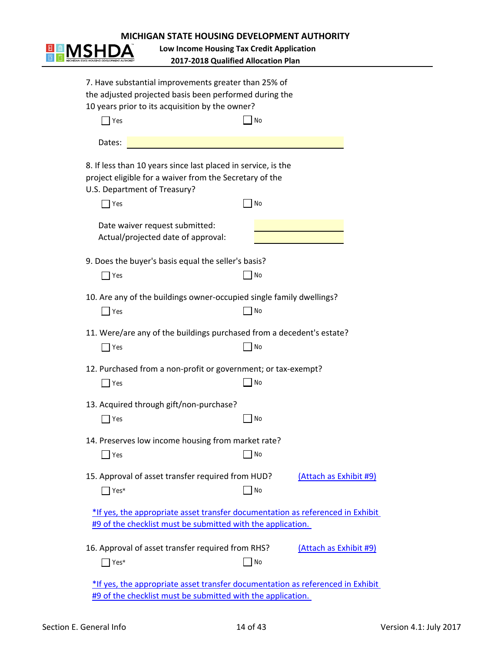

**2017‐2018 Qualified Allocation Plan Low Income Housing Tax Credit Application**

| 7. Have substantial improvements greater than 25% of<br>the adjusted projected basis been performed during the                                           |    |                        |
|----------------------------------------------------------------------------------------------------------------------------------------------------------|----|------------------------|
| 10 years prior to its acquisition by the owner?<br>$\vert$ Yes                                                                                           | No |                        |
| Dates:                                                                                                                                                   |    |                        |
| 8. If less than 10 years since last placed in service, is the<br>project eligible for a waiver from the Secretary of the<br>U.S. Department of Treasury? |    |                        |
| $\vert$ Yes                                                                                                                                              | No |                        |
| Date waiver request submitted:<br>Actual/projected date of approval:                                                                                     |    |                        |
| 9. Does the buyer's basis equal the seller's basis?                                                                                                      |    |                        |
| $\vert$ Yes                                                                                                                                              | No |                        |
| 10. Are any of the buildings owner-occupied single family dwellings?<br>$\Box$ Yes                                                                       | No |                        |
| 11. Were/are any of the buildings purchased from a decedent's estate?<br>$\overline{\phantom{a}}$ Yes                                                    | No |                        |
| 12. Purchased from a non-profit or government; or tax-exempt?<br>$\exists$ Yes                                                                           | No |                        |
| 13. Acquired through gift/non-purchase?<br>$\blacksquare$ Yes                                                                                            | No |                        |
| 14. Preserves low income housing from market rate?<br>∫ Yes                                                                                              | No |                        |
| 15. Approval of asset transfer required from HUD?<br>$\vert$ Yes <sup>*</sup>                                                                            | No | (Attach as Exhibit #9) |
| *If yes, the appropriate asset transfer documentation as referenced in Exhibit<br>#9 of the checklist must be submitted with the application.            |    |                        |
| 16. Approval of asset transfer required from RHS?<br>$\vert$ Yes <sup>*</sup>                                                                            | No | (Attach as Exhibit #9) |
| *If yes, the appropriate asset transfer documentation as referenced in Exhibit                                                                           |    |                        |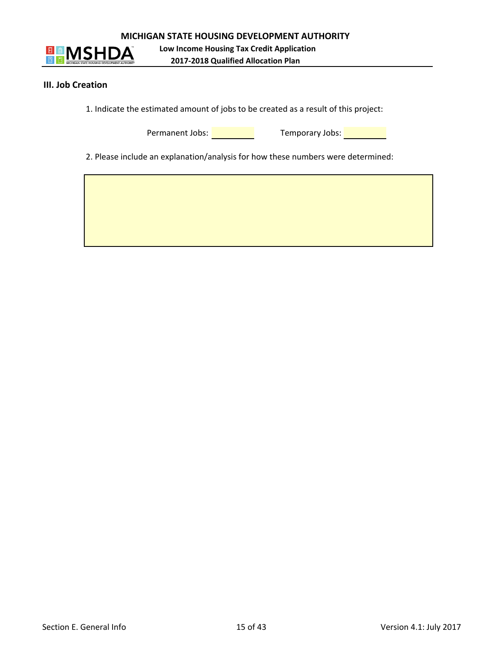



**Low Income Housing Tax Credit Application 2017‐2018 Qualified Allocation Plan**

#### **III. Job Creation**

1. Indicate the estimated amount of jobs to be created as a result of this project:

Permanent Jobs: <u>New York: Temporary Jobs: New York: New York: New York: New York: New York: New York: New York: New York: New York: New York: New York: New York: New York: New York: New York: New York: New York: New York:</u>

2. Please include an explanation/analysis for how these numbers were determined: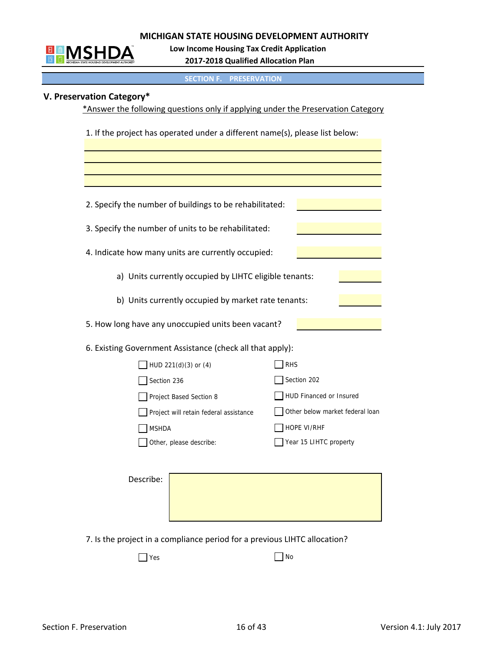

 **Low Income Housing Tax Credit Application**

 **2017‐2018 Qualified Allocation Plan**

**SECTION F. PRESERVATION**

# **V. Preservation Category\***

\*Answer the following questions only if applying under the Preservation Category

1. If the project has operated under a different name(s), please list below:

| 2. Specify the number of buildings to be rehabilitated:   |                                 |
|-----------------------------------------------------------|---------------------------------|
| 3. Specify the number of units to be rehabilitated:       |                                 |
| 4. Indicate how many units are currently occupied:        |                                 |
| a) Units currently occupied by LIHTC eligible tenants:    |                                 |
| b) Units currently occupied by market rate tenants:       |                                 |
| 5. How long have any unoccupied units been vacant?        |                                 |
| 6. Existing Government Assistance (check all that apply): |                                 |
| HUD 221(d)(3) or (4)                                      | <b>RHS</b>                      |
| Section 236                                               | Section 202                     |
| Project Based Section 8                                   | HUD Financed or Insured         |
| Project will retain federal assistance                    | Other below market federal loan |
| <b>MSHDA</b>                                              | HOPE VI/RHF                     |
| Other, please describe:                                   | Year 15 LIHTC property          |
| Describe:                                                 |                                 |
|                                                           |                                 |

7. Is the project in a compliance period for a previous LIHTC allocation?

 $\Box$  Yes  $\Box$  No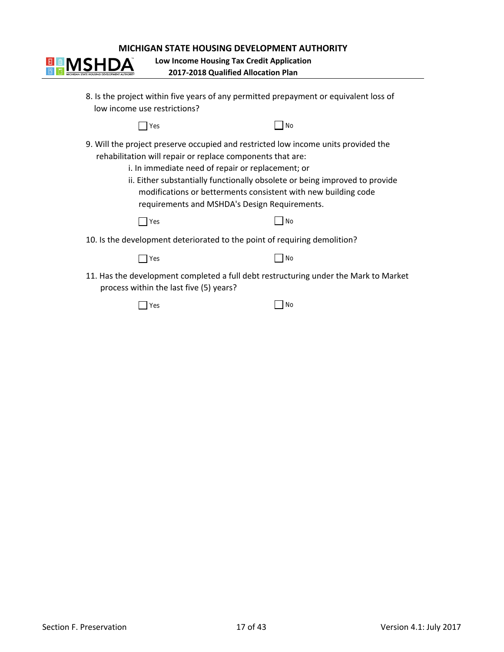**2017‐2018 Qualified Allocation Plan Low Income Housing Tax Credit Application**

| low income use restrictions?                                                                                                                                                                                                                                                                                                                                                                            | 8. Is the project within five years of any permitted prepayment or equivalent loss of |  |  |
|---------------------------------------------------------------------------------------------------------------------------------------------------------------------------------------------------------------------------------------------------------------------------------------------------------------------------------------------------------------------------------------------------------|---------------------------------------------------------------------------------------|--|--|
| Yes                                                                                                                                                                                                                                                                                                                                                                                                     | No                                                                                    |  |  |
| 9. Will the project preserve occupied and restricted low income units provided the<br>rehabilitation will repair or replace components that are:<br>i. In immediate need of repair or replacement; or<br>ii. Either substantially functionally obsolete or being improved to provide<br>modifications or betterments consistent with new building code<br>requirements and MSHDA's Design Requirements. |                                                                                       |  |  |
| Yes                                                                                                                                                                                                                                                                                                                                                                                                     | <b>No</b>                                                                             |  |  |
|                                                                                                                                                                                                                                                                                                                                                                                                         | 10. Is the development deteriorated to the point of requiring demolition?             |  |  |
| Yes                                                                                                                                                                                                                                                                                                                                                                                                     | <b>No</b>                                                                             |  |  |
| process within the last five (5) years?                                                                                                                                                                                                                                                                                                                                                                 | 11. Has the development completed a full debt restructuring under the Mark to Market  |  |  |
| /es                                                                                                                                                                                                                                                                                                                                                                                                     | No                                                                                    |  |  |

**E MSHDA**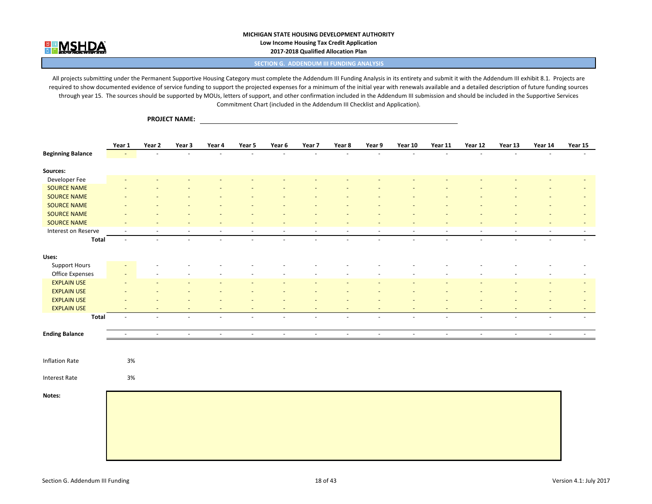

**PROJECT NAME:**

#### **MICHIGAN STATE HOUSING DEVELOPMENT AUTHORITY Low Income Housing Tax Credit Application 2017‐2018 Qualified Allocation Plan**

**SECTION G. ADDENDUM III FUNDING ANALYSIS**

All projects submitting under the Permanent Supportive Housing Category must complete the Addendum III Funding Analysis in its entirety and submit it with the Addendum III exhibit 8.1. Projects are required to show documented evidence of service funding to support the projected expenses for a minimum of the initial year with renewals available and a detailed description of future funding sources through year 15. The sources should be supported by MOUs, letters of support, and other confirmation included in the Addendum III submission and should be included in the Supportive Services Commitment Chart (included in the Addendum III Checklist and Application).

**Year**r 1 Year 2 Year 3 Year 4 Year 5 Year 6 Year 7 Year 8 Year 9 Year 10 Year 11 Year 12 Year 13 Year 14 Year 15 Year 15 <mark>Beginning Balance is the company of the company of the company of the company of the company of the company of the company of the company of the company of the company of the company of the company of the company of the c</mark> **Sources:** Developer Fee ‐ ‐ ‐ ‐ ‐ ‐ ‐ ‐ ‐ ‐ ‐ ‐ ‐ ‐ ‐ SOURCE NAME  ${\sf ENAME}$  , and the set of the set of the set of the set of the set of the set of the set of the set of the set of the set of the set of the set of the set of the set of the set of the set of the set of the set of the set **SOURCE NAME**  NAME ‐ ‐ ‐ ‐ ‐ ‐ ‐ ‐ ‐ ‐ ‐ ‐ ‐ ‐ ‐ **SOURCE NAME**  ${\sf ENAME}$  , and the set of the set of the set of the set of the set of the set of the set of the set of the set of the set of the set of the set of the set of the set of the set of the set of the set of the set of the set **SOURCE NAME**  ${\sf ENAME}$  , and the set of the set of the set of the set of the set of the set of the set of the set of the set of the set of the set of the set of the set of the set of the set of the set of the set of the set of the set **SOURCE NAME**  ${\sf ENAME}$  , and the set of the set of the set of the set of the set of the set of the set of the set of the set of the set of the set of the set of the set of the set of the set of the set of the set of the set of the set Interest on Reserve ‐ ‐ ‐ ‐ ‐ ‐ ‐ ‐ ‐ ‐ ‐ ‐ ‐ ‐ ‐ **Total** ‐ ‐ ‐ ‐ ‐ ‐ ‐ ‐ ‐ ‐ ‐ ‐ ‐ ‐ ‐ **Uses:**Support Hours ‐ ‐ ‐ ‐ ‐ ‐ ‐ ‐ ‐ ‐ ‐ ‐ ‐ ‐ ‐ **Office Expenses** e Expenses in the second that the second the second the second the second the second the second the second the second the second the second the second the second the second the second the second the second the second the s **EXPLAIN USE** N USE the second contract the second contract  $\mathcal{A}=\mathcal{A}$  . The second contract of  $\mathcal{A}=\mathcal{A}$  , we can contract the second contract of  $\mathcal{A}$ **EXPLAIN USE** N USE the second contract the second contract  $\mathcal{A}=\mathcal{A}$  . The second contract of  $\mathcal{A}=\mathcal{A}$  , we can contract the second contract of  $\mathcal{A}$ **EXPLAIN USE** N USE the second contract the second contract  $\mathcal{A}=\mathcal{A}$  . The second contract of  $\mathcal{A}=\mathcal{A}$  , we can contract the second contract of  $\mathcal{A}$ **EXPLAIN USE** N USE the second contract the second contract  $\mathcal{A} = \mathcal{A}$  . The second contract of  $\mathcal{A} = \mathcal{A}$  , we can contract the second contract of  $\mathcal{A} = \mathcal{A}$  . The second contract of  $\mathcal{A} = \mathcal{A}$ **Total** ‐ ‐ ‐ ‐ ‐ ‐ ‐ ‐ ‐ ‐ ‐ ‐ ‐ ‐ ‐ **Ending Balance** ‐ ‐ ‐ ‐ ‐ ‐ ‐ ‐ ‐ ‐ ‐ ‐ ‐ ‐ ‐ Inflation Rate 3%Interest Rate 3%**Notes:**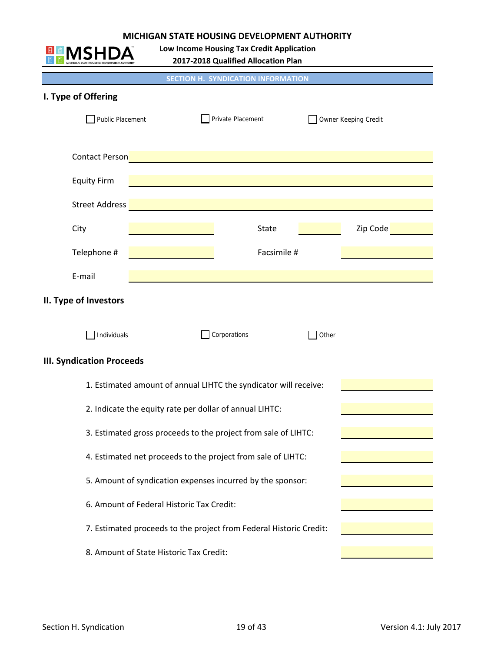**Low Income Housing Tax Credit Application**

**2017‐2018 Qualified Allocation Plan**

™

| MICHIGAN STATE HOUSING DEVELOPMENT AUTHORITY |                                                               | 2017-2018 Qualified Allocation Plan                                |       |          |
|----------------------------------------------|---------------------------------------------------------------|--------------------------------------------------------------------|-------|----------|
|                                              |                                                               | <b>SECTION H. SYNDICATION INFORMATION</b>                          |       |          |
| I. Type of Offering                          |                                                               |                                                                    |       |          |
|                                              | Public Placement<br>Private Placement<br>Owner Keeping Credit |                                                                    |       |          |
| <b>Contact Person</b>                        |                                                               |                                                                    |       |          |
| <b>Equity Firm</b>                           |                                                               |                                                                    |       |          |
| <b>Street Address</b>                        |                                                               |                                                                    |       |          |
| City                                         |                                                               | <b>State</b>                                                       |       | Zip Code |
| Telephone #                                  |                                                               | Facsimile #                                                        |       |          |
| E-mail                                       |                                                               |                                                                    |       |          |
| II. Type of Investors                        |                                                               |                                                                    |       |          |
| Individuals                                  |                                                               | Corporations                                                       | Other |          |
| <b>III. Syndication Proceeds</b>             |                                                               |                                                                    |       |          |
|                                              |                                                               | 1. Estimated amount of annual LIHTC the syndicator will receive:   |       |          |
|                                              | 2. Indicate the equity rate per dollar of annual LIHTC:       |                                                                    |       |          |
|                                              |                                                               | 3. Estimated gross proceeds to the project from sale of LIHTC:     |       |          |
|                                              |                                                               | 4. Estimated net proceeds to the project from sale of LIHTC:       |       |          |
|                                              |                                                               | 5. Amount of syndication expenses incurred by the sponsor:         |       |          |
|                                              | 6. Amount of Federal Historic Tax Credit:                     |                                                                    |       |          |
|                                              |                                                               | 7. Estimated proceeds to the project from Federal Historic Credit: |       |          |
|                                              | 8. Amount of State Historic Tax Credit:                       |                                                                    |       |          |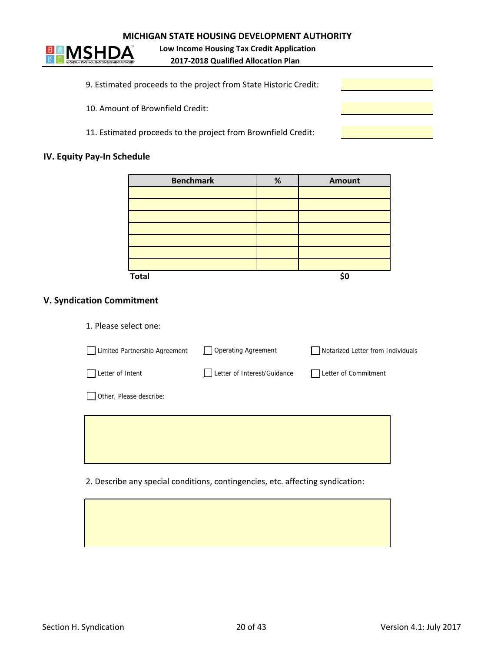

**2017‐2018 Qualified Allocation Plan Low Income Housing Tax Credit Application**

- 9. Estimated proceeds to the project from State Historic Credit:
- 10. Amount of Brownfield Credit:
- 11. Estimated proceeds to the project from Brownfield Credit:

#### **IV. Equity Pay‐In Schedule**

| <b>Benchmark</b> | $\%$ | Amount |
|------------------|------|--------|
|                  |      |        |
|                  |      |        |
|                  |      |        |
|                  |      |        |
|                  |      |        |
|                  |      |        |
|                  |      |        |
| <b>Total</b>     |      | \$0    |

# **V. Syndication Commitment**

| 1. Please select one:         |                             |                                   |
|-------------------------------|-----------------------------|-----------------------------------|
| Limited Partnership Agreement | <b>Operating Agreement</b>  | Notarized Letter from Individuals |
| Letter of Intent              | Letter of Interest/Guidance | Letter of Commitment              |
| Other, Please describe:       |                             |                                   |
|                               |                             |                                   |
|                               |                             |                                   |

2. Describe any special conditions, contingencies, etc. affecting syndication: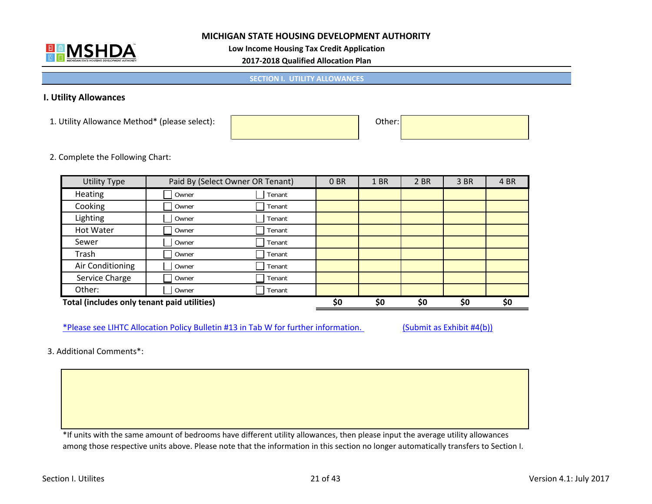

**Low Income Housing Tax Credit Application**

**2017‐2018 Qualified Allocation Plan**

**SECTION I. UTILITY ALLOWANCES**

#### **I. Utility Allowances**

1. Utility Allowance Method\* (please select): Other:

2. Complete the Following Chart:

| <b>Utility Type</b>                         | Paid By (Select Owner OR Tenant) |        | 0 <sub>BR</sub> | 1 BR | 2 BR | 3 BR | 4 BR |
|---------------------------------------------|----------------------------------|--------|-----------------|------|------|------|------|
| <b>Heating</b>                              | Owner                            | Tenant |                 |      |      |      |      |
| Cooking                                     | Owner                            | Tenant |                 |      |      |      |      |
| Lighting                                    | Owner                            | Tenant |                 |      |      |      |      |
| Hot Water                                   | Owner                            | Tenant |                 |      |      |      |      |
| Sewer                                       | Owner                            | Tenant |                 |      |      |      |      |
| Trash                                       | Owner                            | Tenant |                 |      |      |      |      |
| Air Conditioning                            | Owner                            | Tenant |                 |      |      |      |      |
| Service Charge                              | Owner                            | Tenant |                 |      |      |      |      |
| Other:                                      | Owner                            | Tenant |                 |      |      |      |      |
| Total (includes only tenant paid utilities) |                                  |        | \$0             | \$0  | \$0  | \$0  | \$0  |

\*Please see LIHTC Allocation Policy Bulletin #13 in Tab W for further information. (Submit as Exhibit #4(b))

3. Additional Comments\*:

\*If units with the same amount of bedrooms have different utility allowances, then please input the average utility allowances among those respective units above. Please note that the information in this section no longer automatically transfers to Section I.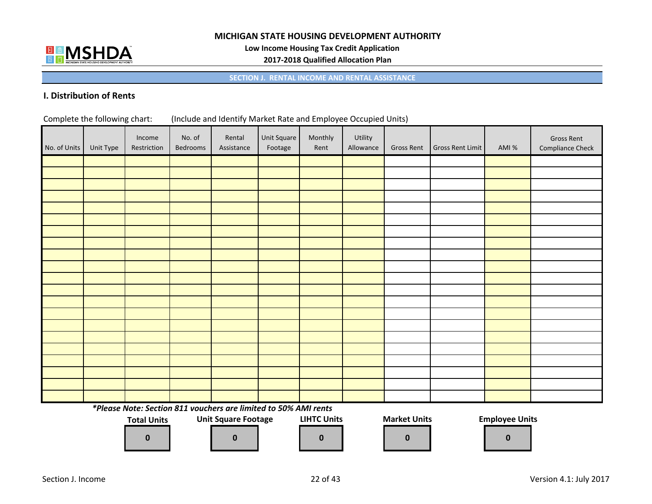

**Low Income Housing Tax Credit Application**

**2017‐2018 Qualified Allocation Plan**

**SECTION J. RENTAL INCOME AND RENTAL ASSISTANCE**

#### **I. Distribution of Rents**

| Complete the following chart: | (Include and Identify Market Rate and Employee Occupied Units) |  |
|-------------------------------|----------------------------------------------------------------|--|
|-------------------------------|----------------------------------------------------------------|--|

| No. of Units | Unit Type | Income<br>Restriction | No. of<br>Bedrooms | Rental<br>Assistance                                            | Unit Square<br>Footage | Monthly<br>Rent    | Utility<br>Allowance | <b>Gross Rent</b>   | Gross Rent Limit | AMI %                 | <b>Gross Rent</b><br><b>Compliance Check</b> |
|--------------|-----------|-----------------------|--------------------|-----------------------------------------------------------------|------------------------|--------------------|----------------------|---------------------|------------------|-----------------------|----------------------------------------------|
|              |           |                       |                    |                                                                 |                        |                    |                      |                     |                  |                       |                                              |
|              |           |                       |                    |                                                                 |                        |                    |                      |                     |                  |                       |                                              |
|              |           |                       |                    |                                                                 |                        |                    |                      |                     |                  |                       |                                              |
|              |           |                       |                    |                                                                 |                        |                    |                      |                     |                  |                       |                                              |
|              |           |                       |                    |                                                                 |                        |                    |                      |                     |                  |                       |                                              |
|              |           |                       |                    |                                                                 |                        |                    |                      |                     |                  |                       |                                              |
|              |           |                       |                    |                                                                 |                        |                    |                      |                     |                  |                       |                                              |
|              |           |                       |                    |                                                                 |                        |                    |                      |                     |                  |                       |                                              |
|              |           |                       |                    |                                                                 |                        |                    |                      |                     |                  |                       |                                              |
|              |           |                       |                    |                                                                 |                        |                    |                      |                     |                  |                       |                                              |
|              |           |                       |                    |                                                                 |                        |                    |                      |                     |                  |                       |                                              |
|              |           |                       |                    |                                                                 |                        |                    |                      |                     |                  |                       |                                              |
|              |           |                       |                    |                                                                 |                        |                    |                      |                     |                  |                       |                                              |
|              |           |                       |                    |                                                                 |                        |                    |                      |                     |                  |                       |                                              |
|              |           |                       |                    |                                                                 |                        |                    |                      |                     |                  |                       |                                              |
|              |           |                       |                    |                                                                 |                        |                    |                      |                     |                  |                       |                                              |
|              |           |                       |                    |                                                                 |                        |                    |                      |                     |                  |                       |                                              |
|              |           |                       |                    |                                                                 |                        |                    |                      |                     |                  |                       |                                              |
|              |           |                       |                    |                                                                 |                        |                    |                      |                     |                  |                       |                                              |
|              |           |                       |                    |                                                                 |                        |                    |                      |                     |                  |                       |                                              |
|              |           |                       |                    |                                                                 |                        |                    |                      |                     |                  |                       |                                              |
|              |           |                       |                    | *Please Note: Section 811 vouchers are limited to 50% AMI rents |                        |                    |                      |                     |                  |                       |                                              |
|              |           | <b>Total Units</b>    |                    | <b>Unit Square Footage</b>                                      |                        | <b>LIHTC Units</b> |                      | <b>Market Units</b> |                  | <b>Employee Units</b> |                                              |
|              |           |                       |                    |                                                                 |                        |                    |                      |                     |                  |                       |                                              |
|              |           | $\mathbf 0$           |                    | $\mathbf 0$                                                     |                        | $\mathbf 0$        |                      | $\mathbf 0$         |                  | $\bf{0}$              |                                              |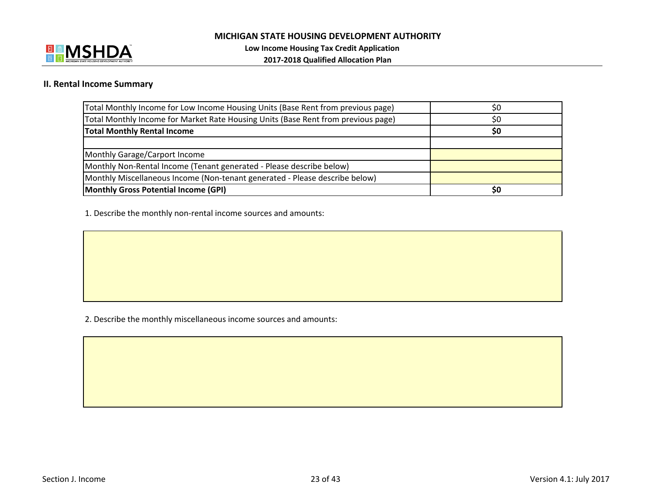

#### **II. Rental Income Summary**

| Total Monthly Income for Low Income Housing Units (Base Rent from previous page)  | \$0 |
|-----------------------------------------------------------------------------------|-----|
| Total Monthly Income for Market Rate Housing Units (Base Rent from previous page) | S0  |
| <b>Total Monthly Rental Income</b>                                                | \$0 |
|                                                                                   |     |
| Monthly Garage/Carport Income                                                     |     |
| Monthly Non-Rental Income (Tenant generated - Please describe below)              |     |
| Monthly Miscellaneous Income (Non-tenant generated - Please describe below)       |     |
| Monthly Gross Potential Income (GPI)                                              | S0  |

1. Describe the monthly non‐rental income sources and amounts:

2. Describe the monthly miscellaneous income sources and amounts: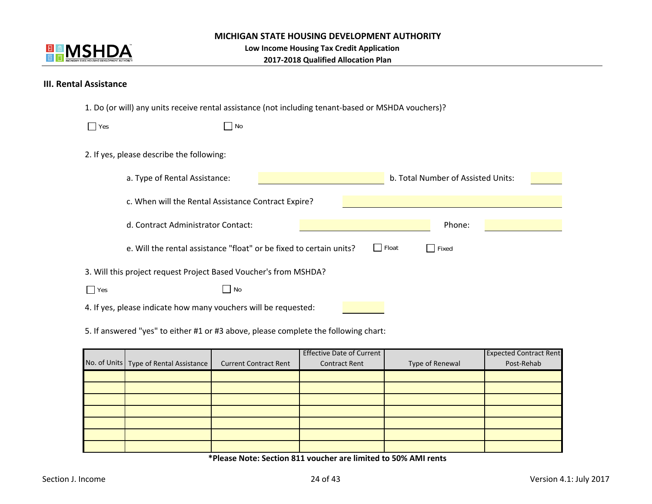

**2017‐2018 Qualified Allocation Plan**

#### **III. Rental Assistance**

|  |  |  |  |  |  | 1. Do (or will) any units receive rental assistance (not including tenant-based or MSHDA vouchers)? |
|--|--|--|--|--|--|-----------------------------------------------------------------------------------------------------|
|--|--|--|--|--|--|-----------------------------------------------------------------------------------------------------|

| $\Box$ Yes | No                                                                  |                                           |
|------------|---------------------------------------------------------------------|-------------------------------------------|
|            | 2. If yes, please describe the following:                           |                                           |
|            | a. Type of Rental Assistance:                                       | b. Total Number of Assisted Units:        |
|            | c. When will the Rental Assistance Contract Expire?                 |                                           |
|            | d. Contract Administrator Contact:                                  | Phone:                                    |
|            | e. Will the rental assistance "float" or be fixed to certain units? | Float<br>$\vert \ \vert$<br>$\vert$ Fixed |
|            | 3. Will this project request Project Based Voucher's from MSHDA?    |                                           |
| $\Box$ Yes | No                                                                  |                                           |
|            | 4. If yes, please indicate how many vouchers will be requested:     |                                           |

5. If answered "yes" to either #1 or #3 above, please complete the following chart:

|                                          |                              | <b>Effective Date of Current</b> |                 | <b>Expected Contract Rent</b> |
|------------------------------------------|------------------------------|----------------------------------|-----------------|-------------------------------|
| No. of Units   Type of Rental Assistance | <b>Current Contract Rent</b> | <b>Contract Rent</b>             | Type of Renewal | Post-Rehab                    |
|                                          |                              |                                  |                 |                               |
|                                          |                              |                                  |                 |                               |
|                                          |                              |                                  |                 |                               |
|                                          |                              |                                  |                 |                               |
|                                          |                              |                                  |                 |                               |
|                                          |                              |                                  |                 |                               |
|                                          |                              |                                  |                 |                               |

**\*Please Note: Section 811 voucher are limited to 50% AMI rents**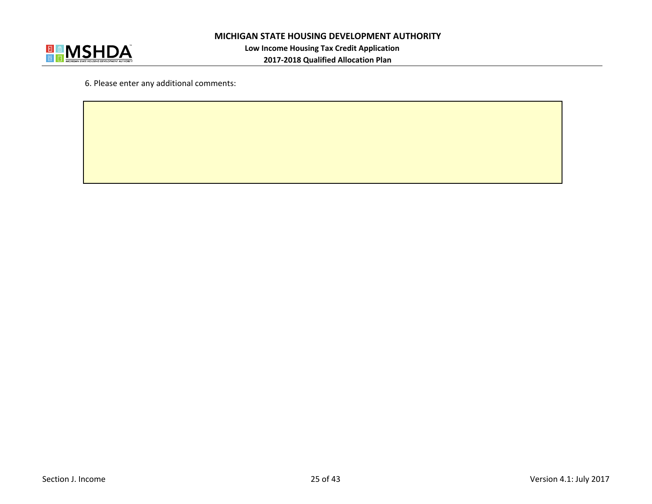

6. Please enter any additional comments: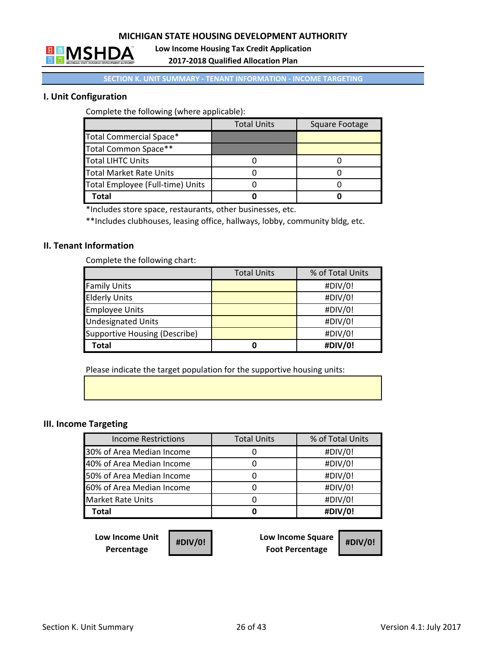

**Low Income Housing Tax Credit Application**

**2017‐2018 Qualified Allocation Plan**

#### **SECTION K. UNIT SUMMARY ‐ TENANT INFORMATION ‐ INCOME TARGETING**

# **I. Unit Configuration**

Complete the following (where applicable):

|                                  | <b>Total Units</b> | Square Footage |
|----------------------------------|--------------------|----------------|
| Total Commercial Space*          |                    |                |
| Total Common Space**             |                    |                |
| <b>Total LIHTC Units</b>         |                    |                |
| <b>Total Market Rate Units</b>   |                    |                |
| Total Employee (Full-time) Units |                    |                |
| Total                            |                    |                |

\*Includes store space, restaurants, other businesses, etc.

\*\*Includes clubhouses, leasing office, hallways, lobby, community bldg, etc.

#### **II. Tenant Information**

Complete the following chart:

|                               | <b>Total Units</b> | % of Total Units |
|-------------------------------|--------------------|------------------|
| <b>Family Units</b>           |                    | #DIV/0!          |
| <b>Elderly Units</b>          |                    | #DIV/0!          |
| <b>Employee Units</b>         |                    | #DIV/0!          |
| <b>Undesignated Units</b>     |                    | #DIV/0!          |
| Supportive Housing (Describe) |                    | #DIV/0!          |
| <b>Total</b>                  | 0                  | #DIV/0!          |

Please indicate the target population for the supportive housing units:

#### **III. Income Targeting**

| <b>Income Restrictions</b> | <b>Total Units</b> | % of Total Units |
|----------------------------|--------------------|------------------|
| 30% of Area Median Income  |                    | #DIV/0!          |
| 40% of Area Median Income  |                    | #DIV/0!          |
| 50% of Area Median Income  |                    | #DIV/0!          |
| 60% of Area Median Income  |                    | #DIV/0!          |
| <b>Market Rate Units</b>   |                    | #DIV/0!          |
| <b>Total</b>               |                    | #DIV/0!          |

**Low Income Unit Percentage**

| #DIV/0! |  |
|---------|--|
|---------|--|

**Low Income Square Foot Percentage #DIV/0! #DIV/0!**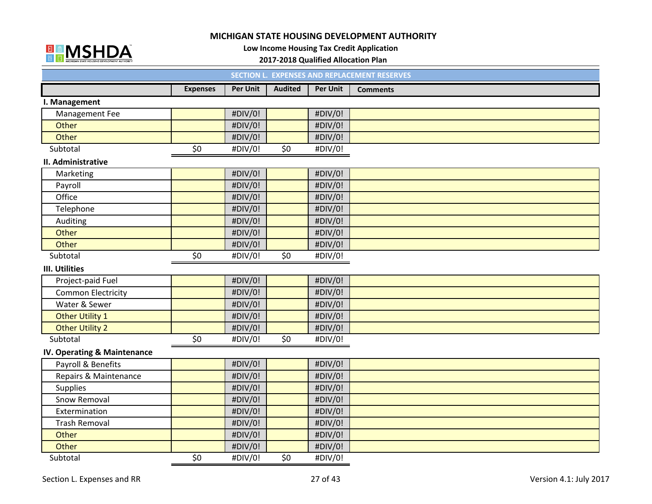

**Low Income Housing Tax Credit Application**

#### **2017‐2018 Qualified Allocation Plan**

|                             |                 | <b>SECTION L.</b> |                 |                 | <b>EXPENSES AND REPLACEMENT RESERVES</b> |
|-----------------------------|-----------------|-------------------|-----------------|-----------------|------------------------------------------|
|                             | <b>Expenses</b> | <b>Per Unit</b>   | <b>Audited</b>  | <b>Per Unit</b> | <b>Comments</b>                          |
| I. Management               |                 |                   |                 |                 |                                          |
| Management Fee              |                 | #DIV/0!           |                 | #DIV/0!         |                                          |
| Other                       |                 | #DIV/0!           |                 | #DIV/0!         |                                          |
| Other                       |                 | #DIV/0!           |                 | #DIV/0!         |                                          |
| Subtotal                    | \$0             | #DIV/0!           | \$0             | #DIV/0!         |                                          |
| II. Administrative          |                 |                   |                 |                 |                                          |
| Marketing                   |                 | #DIV/0!           |                 | #DIV/0!         |                                          |
| Payroll                     |                 | #DIV/0!           |                 | #DIV/0!         |                                          |
| Office                      |                 | #DIV/0!           |                 | #DIV/0!         |                                          |
| Telephone                   |                 | #DIV/0!           |                 | #DIV/0!         |                                          |
| Auditing                    |                 | #DIV/0!           |                 | #DIV/0!         |                                          |
| Other                       |                 | #DIV/0!           |                 | #DIV/0!         |                                          |
| Other                       |                 | #DIV/0!           |                 | #DIV/0!         |                                          |
| Subtotal                    | \$0             | #DIV/0!           | \$0\$           | #DIV/0!         |                                          |
| <b>III. Utilities</b>       |                 |                   |                 |                 |                                          |
| Project-paid Fuel           |                 | #DIV/0!           |                 | #DIV/0!         |                                          |
| <b>Common Electricity</b>   |                 | #DIV/0!           |                 | #DIV/0!         |                                          |
| Water & Sewer               |                 | #DIV/0!           |                 | #DIV/0!         |                                          |
| <b>Other Utility 1</b>      |                 | #DIV/0!           |                 | #DIV/0!         |                                          |
| <b>Other Utility 2</b>      |                 | #DIV/0!           |                 | #DIV/0!         |                                          |
| Subtotal                    | \$0             | #DIV/0!           | $\overline{50}$ | #DIV/0!         |                                          |
| IV. Operating & Maintenance |                 |                   |                 |                 |                                          |
| Payroll & Benefits          |                 | #DIV/0!           |                 | #DIV/0!         |                                          |
| Repairs & Maintenance       |                 | #DIV/0!           |                 | #DIV/0!         |                                          |
| Supplies                    |                 | #DIV/0!           |                 | #DIV/0!         |                                          |
| Snow Removal                |                 | #DIV/0!           |                 | #DIV/0!         |                                          |
| Extermination               |                 | #DIV/0!           |                 | #DIV/0!         |                                          |
| <b>Trash Removal</b>        |                 | #DIV/0!           |                 | #DIV/0!         |                                          |
| Other                       |                 | #DIV/0!           |                 | #DIV/0!         |                                          |
| Other                       |                 | #DIV/0!           |                 | #DIV/0!         |                                          |
| Subtotal                    | \$0             | #DIV/0!           | \$0             | #DIV/0!         |                                          |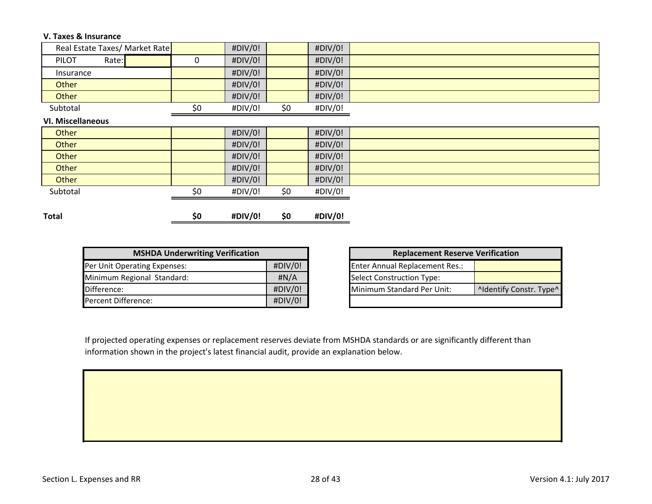#### **V. Taxes & Insurance**

| Real Estate Taxes/ Market Rate |     | #DIV/0! |     | #DIV/0! |
|--------------------------------|-----|---------|-----|---------|
| PILOT<br>Rate:                 | 0   | #DIV/0! |     | #DIV/0! |
| Insurance                      |     | #DIV/0! |     | #DIV/0! |
| Other                          |     | #DIV/0! |     | #DIV/0! |
| Other                          |     | #DIV/0! |     | #DIV/0! |
| Subtotal                       | \$0 | #DIV/0! | \$0 | #DIV/0! |
| <b>VI. Miscellaneous</b>       |     |         |     |         |
| Other                          |     | #DIV/0! |     | #DIV/0! |
| Other                          |     | #DIV/0! |     | #DIV/0! |
| Other                          |     | #DIV/0! |     | #DIV/0! |
| Other                          |     | #DIV/0! |     | #DIV/0! |
| Other                          |     | #DIV/0! |     | #DIV/0! |
| Subtotal                       | \$0 | #DIV/0! | \$0 | #DIV/0! |
|                                |     |         |     |         |
| <b>Total</b>                   | \$0 | #DIV/0! | \$0 | #DIV/0! |

| <b>MSHDA Underwriting Verification</b> |         |  |  |  |  |  |  |  |  |
|----------------------------------------|---------|--|--|--|--|--|--|--|--|
| Per Unit Operating Expenses:           | #DIV/0! |  |  |  |  |  |  |  |  |
| Minimum Regional Standard:             | H N/A   |  |  |  |  |  |  |  |  |
| Difference:                            | #DIV/0! |  |  |  |  |  |  |  |  |
| Percent Difference:                    | #DIV/0! |  |  |  |  |  |  |  |  |

| <b>Replacement Reserve Verification</b> |                         |  |  |  |  |  |  |  |  |
|-----------------------------------------|-------------------------|--|--|--|--|--|--|--|--|
| <b>Enter Annual Replacement Res.:</b>   |                         |  |  |  |  |  |  |  |  |
| <b>Select Construction Type:</b>        |                         |  |  |  |  |  |  |  |  |
| Minimum Standard Per Unit:              | ^Identify Constr. Type^ |  |  |  |  |  |  |  |  |
|                                         |                         |  |  |  |  |  |  |  |  |

If projected operating expenses or replacement reserves deviate from MSHDA standards or are significantly different than information shown in the project's latest financial audit, provide an explanation below.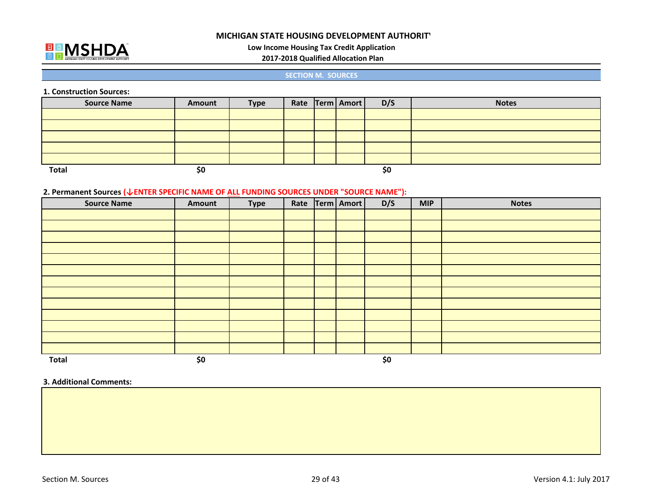

**Low Income Housing Tax Credit Application**

**2017‐2018 Qualified Allocation Plan**

#### **SECTION M. SOURCES**

**1. Construction Sources:**

| <b>Source Name</b> | Amount | <b>Type</b> |  | Rate Term   Amort | D/S | <b>Notes</b> |
|--------------------|--------|-------------|--|-------------------|-----|--------------|
|                    |        |             |  |                   |     |              |
|                    |        |             |  |                   |     |              |
|                    |        |             |  |                   |     |              |
|                    |        |             |  |                   |     |              |
|                    |        |             |  |                   |     |              |
| <b>Total</b>       | \$0    |             |  |                   | \$0 |              |

#### **2. Permanent Sources (↓ENTER SPECIFIC NAME OF ALL FUNDING SOURCES UNDER "SOURCE NAME"):**

| <b>Source Name</b> | Amount | <b>Type</b> | Rate | Term   Amort | D/S | <b>MIP</b> | <b>Notes</b> |
|--------------------|--------|-------------|------|--------------|-----|------------|--------------|
|                    |        |             |      |              |     |            |              |
|                    |        |             |      |              |     |            |              |
|                    |        |             |      |              |     |            |              |
|                    |        |             |      |              |     |            |              |
|                    |        |             |      |              |     |            |              |
|                    |        |             |      |              |     |            |              |
|                    |        |             |      |              |     |            |              |
|                    |        |             |      |              |     |            |              |
|                    |        |             |      |              |     |            |              |
|                    |        |             |      |              |     |            |              |
|                    |        |             |      |              |     |            |              |
|                    |        |             |      |              |     |            |              |
|                    |        |             |      |              |     |            |              |
| <b>Total</b>       | \$0    |             |      |              | \$0 |            |              |

#### **3. Additional Comments:**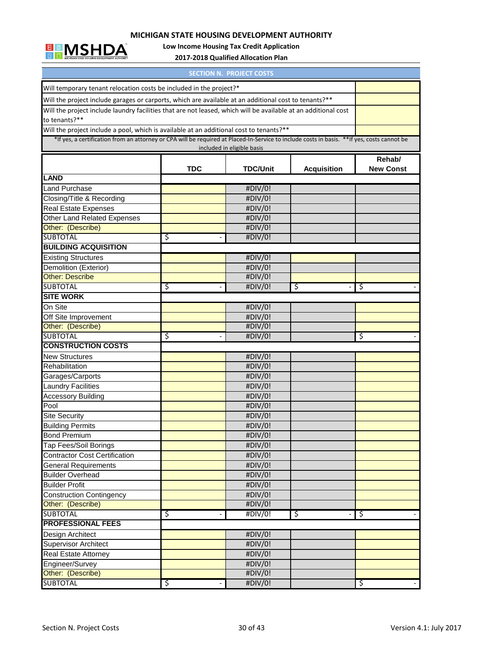

**Low Income Housing Tax Credit Application**

**2017‐2018 Qualified Allocation Plan**

| <b>SECTION N. PROJECT COSTS</b>                                                                                                             |            |                                       |    |        |  |  |  |  |  |  |  |  |
|---------------------------------------------------------------------------------------------------------------------------------------------|------------|---------------------------------------|----|--------|--|--|--|--|--|--|--|--|
| Will temporary tenant relocation costs be included in the project?*                                                                         |            |                                       |    |        |  |  |  |  |  |  |  |  |
| Will the project include garages or carports, which are available at an additional cost to tenants?**                                       |            |                                       |    |        |  |  |  |  |  |  |  |  |
| Will the project include laundry facilities that are not leased, which will be available at an additional cost                              |            |                                       |    |        |  |  |  |  |  |  |  |  |
| to tenants?**                                                                                                                               |            |                                       |    |        |  |  |  |  |  |  |  |  |
| Will the project include a pool, which is available at an additional cost to tenants?**                                                     |            |                                       |    |        |  |  |  |  |  |  |  |  |
| *If yes, a certification from an attorney or CPA will be required at Placed-In-Service to include costs in basis. **If yes, costs cannot be |            |                                       |    |        |  |  |  |  |  |  |  |  |
|                                                                                                                                             |            | included in eligible basis            |    |        |  |  |  |  |  |  |  |  |
|                                                                                                                                             |            |                                       |    | Rehab/ |  |  |  |  |  |  |  |  |
|                                                                                                                                             | <b>TDC</b> | <b>TDC/Unit</b><br><b>Acquisition</b> |    |        |  |  |  |  |  |  |  |  |
| <b>LAND</b>                                                                                                                                 |            |                                       |    |        |  |  |  |  |  |  |  |  |
| <b>Land Purchase</b>                                                                                                                        |            | #DIV/0!                               |    |        |  |  |  |  |  |  |  |  |
| Closing/Title & Recording                                                                                                                   |            | #DIV/0!                               |    |        |  |  |  |  |  |  |  |  |
| <b>Real Estate Expenses</b>                                                                                                                 |            | #DIV/0!                               |    |        |  |  |  |  |  |  |  |  |
| Other Land Related Expenses                                                                                                                 |            | #DIV/0!                               |    |        |  |  |  |  |  |  |  |  |
| Other: (Describe)                                                                                                                           |            | #DIV/0!                               |    |        |  |  |  |  |  |  |  |  |
| <b>SUBTOTAL</b>                                                                                                                             | ड़         | #DIV/0!                               |    |        |  |  |  |  |  |  |  |  |
| <b>BUILDING ACQUISITION</b>                                                                                                                 |            |                                       |    |        |  |  |  |  |  |  |  |  |
| <b>Existing Structures</b>                                                                                                                  |            | #DIV/0!                               |    |        |  |  |  |  |  |  |  |  |
| Demolition (Exterior)                                                                                                                       |            | #DIV/0!                               |    |        |  |  |  |  |  |  |  |  |
| <b>Other: Describe</b>                                                                                                                      |            | #DIV/0!                               |    |        |  |  |  |  |  |  |  |  |
| <b>SUBTOTAL</b>                                                                                                                             | \$         | #DIV/0!                               | \$ | ॱऽ     |  |  |  |  |  |  |  |  |
| <b>SITE WORK</b>                                                                                                                            |            |                                       |    |        |  |  |  |  |  |  |  |  |
| On Site                                                                                                                                     |            | #DIV/0!                               |    |        |  |  |  |  |  |  |  |  |
| Off Site Improvement                                                                                                                        |            | #DIV/0!                               |    |        |  |  |  |  |  |  |  |  |
| Other: (Describe)                                                                                                                           |            | #DIV/0!                               |    |        |  |  |  |  |  |  |  |  |
| <b>SUBTOTAL</b>                                                                                                                             | \$         | #DIV/0!                               |    | ड़     |  |  |  |  |  |  |  |  |
| <b>CONSTRUCTION COSTS</b>                                                                                                                   |            |                                       |    |        |  |  |  |  |  |  |  |  |
| <b>New Structures</b>                                                                                                                       |            | #DIV/0!                               |    |        |  |  |  |  |  |  |  |  |
| Rehabilitation                                                                                                                              |            | #DIV/0!                               |    |        |  |  |  |  |  |  |  |  |
| Garages/Carports                                                                                                                            |            | #DIV/0!                               |    |        |  |  |  |  |  |  |  |  |
| <b>Laundry Facilities</b>                                                                                                                   |            | #DIV/0!                               |    |        |  |  |  |  |  |  |  |  |
| <b>Accessory Building</b>                                                                                                                   |            | #DIV/0!                               |    |        |  |  |  |  |  |  |  |  |
| Pool                                                                                                                                        |            | #DIV/0!                               |    |        |  |  |  |  |  |  |  |  |
| <b>Site Security</b>                                                                                                                        |            | #DIV/0!                               |    |        |  |  |  |  |  |  |  |  |
| <b>Building Permits</b>                                                                                                                     |            | #DIV/0!                               |    |        |  |  |  |  |  |  |  |  |
| <b>Bond Premium</b>                                                                                                                         |            | #DIV/0!                               |    |        |  |  |  |  |  |  |  |  |
| Tap Fees/Soil Borings                                                                                                                       |            | #DIV/0!                               |    |        |  |  |  |  |  |  |  |  |
| <b>Contractor Cost Certification</b>                                                                                                        |            | #DIV/0!                               |    |        |  |  |  |  |  |  |  |  |
| General Requirements                                                                                                                        |            | #DIV/0!                               |    |        |  |  |  |  |  |  |  |  |
| <b>Builder Overhead</b>                                                                                                                     |            | #DIV/0!                               |    |        |  |  |  |  |  |  |  |  |
| <b>Builder Profit</b>                                                                                                                       |            | #DIV/0!                               |    |        |  |  |  |  |  |  |  |  |
| <b>Construction Contingency</b>                                                                                                             |            | #DIV/0!                               |    |        |  |  |  |  |  |  |  |  |
| Other: (Describe)                                                                                                                           |            | #DIV/0!                               |    |        |  |  |  |  |  |  |  |  |
| <b>SUBTOTAL</b>                                                                                                                             | \$         | #DIV/0!                               | \$ | \$     |  |  |  |  |  |  |  |  |
| <b>PROFESSIONAL FEES</b>                                                                                                                    |            |                                       |    |        |  |  |  |  |  |  |  |  |
| Design Architect                                                                                                                            |            | #DIV/0!                               |    |        |  |  |  |  |  |  |  |  |
| <b>Supervisor Architect</b>                                                                                                                 |            | #DIV/0!                               |    |        |  |  |  |  |  |  |  |  |
| Real Estate Attorney                                                                                                                        |            | #DIV/0!                               |    |        |  |  |  |  |  |  |  |  |
| Engineer/Survey                                                                                                                             |            | #DIV/0!                               |    |        |  |  |  |  |  |  |  |  |
| Other: (Describe)                                                                                                                           |            | #DIV/0!                               |    |        |  |  |  |  |  |  |  |  |
| <b>SUBTOTAL</b>                                                                                                                             | \$         | #DIV/0!                               |    | \$     |  |  |  |  |  |  |  |  |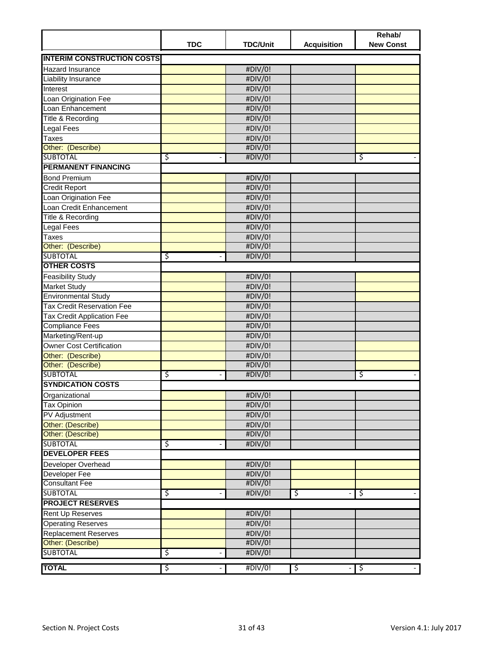|                                   | <b>TDC</b> | <b>TDC/Unit</b> | <b>Acquisition</b> | Rehab/<br><b>New Const</b> |
|-----------------------------------|------------|-----------------|--------------------|----------------------------|
| <b>INTERIM CONSTRUCTION COSTS</b> |            |                 |                    |                            |
| <b>Hazard Insurance</b>           |            | #DIV/0!         |                    |                            |
| Liability Insurance               |            | #DIV/0!         |                    |                            |
| Interest                          |            | #DIV/0!         |                    |                            |
| Loan Origination Fee              |            | #DIV/0!         |                    |                            |
| Loan Enhancement                  |            | #DIV/0!         |                    |                            |
| Title & Recording                 |            | #DIV/0!         |                    |                            |
| <b>Legal Fees</b>                 |            | #DIV/0!         |                    |                            |
| Taxes                             |            | #DIV/0!         |                    |                            |
| Other: (Describe)                 |            | #DIV/0!         |                    |                            |
| <b>SUBTOTAL</b>                   | \$         | #DIV/0!         |                    | \$                         |
| <b>PERMANENT FINANCING</b>        |            |                 |                    |                            |
| <b>Bond Premium</b>               |            | #DIV/0!         |                    |                            |
| <b>Credit Report</b>              |            | #DIV/0!         |                    |                            |
| Loan Origination Fee              |            | #DIV/0!         |                    |                            |
| Loan Credit Enhancement           |            | #DIV/0!         |                    |                            |
| Title & Recording                 |            | #DIV/0!         |                    |                            |
| <b>Legal Fees</b>                 |            | #DIV/0!         |                    |                            |
| Taxes                             |            | #DIV/0!         |                    |                            |
| Other: (Describe)                 |            | #DIV/0!         |                    |                            |
| <b>SUBTOTAL</b>                   | \$         | #DIV/0!         |                    |                            |
| <b>OTHER COSTS</b>                |            |                 |                    |                            |
| <b>Feasibility Study</b>          |            | #DIV/0!         |                    |                            |
| <b>Market Study</b>               |            | #DIV/0!         |                    |                            |
| <b>Environmental Study</b>        |            | #DIV/0!         |                    |                            |
| <b>Tax Credit Reservation Fee</b> |            | #DIV/0!         |                    |                            |
| <b>Tax Credit Application Fee</b> |            | #DIV/0!         |                    |                            |
| <b>Compliance Fees</b>            |            | #DIV/0!         |                    |                            |
| Marketing/Rent-up                 |            | #DIV/0!         |                    |                            |
| <b>Owner Cost Certification</b>   |            | #DIV/0!         |                    |                            |
| Other: (Describe)                 |            | #DIV/0!         |                    |                            |
| Other: (Describe)                 |            | #DIV/0!         |                    |                            |
| <b>SUBTOTAL</b>                   | \$         | #DIV/0!         |                    | \$                         |
| <b>SYNDICATION COSTS</b>          |            |                 |                    |                            |
| Organizational                    |            | #DIV/0!         |                    |                            |
| <b>Tax Opinion</b>                |            | #DIV/0!         |                    |                            |
| PV Adjustment                     |            | #DIV/0!         |                    |                            |
| Other: (Describe)                 |            | #DIV/0!         |                    |                            |
| Other: (Describe)                 |            | #DIV/0!         |                    |                            |
| <b>SUBTOTAL</b>                   | \$         | #DIV/0!         |                    |                            |
| <b>DEVELOPER FEES</b>             |            |                 |                    |                            |
| Developer Overhead                |            | #DIV/0!         |                    |                            |
| Developer Fee                     |            | #DIV/0!         |                    |                            |
| <b>Consultant Fee</b>             |            | #DIV/0!         |                    |                            |
| <b>SUBTOTAL</b>                   | \$         | #DIV/0!         | \$                 | \$                         |
| <b>PROJECT RESERVES</b>           |            |                 |                    |                            |
| <b>Rent Up Reserves</b>           |            | #DIV/0!         |                    |                            |
| <b>Operating Reserves</b>         |            | #DIV/0!         |                    |                            |
| <b>Replacement Reserves</b>       |            | #DIV/0!         |                    |                            |
| Other: (Describe)                 |            | #DIV/0!         |                    |                            |
| <b>SUBTOTAL</b>                   | \$         | #DIV/0!         |                    |                            |
| <b>TOTAL</b>                      | ॱऽ         | #DIV/0!         | \$                 | \$                         |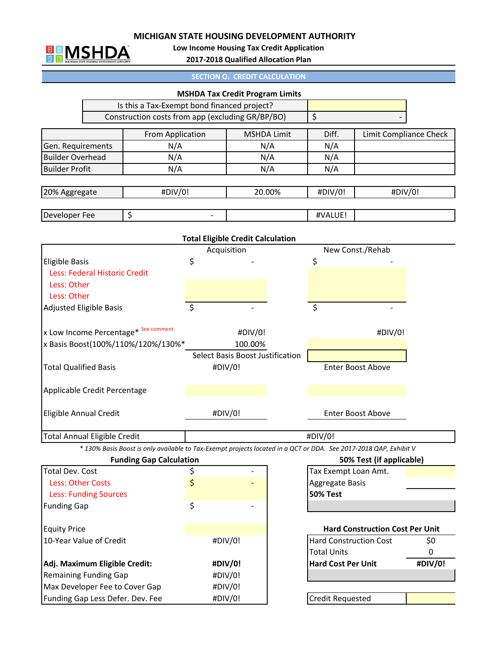

Max Developer Fee to Cover Gap

Funding Gap Less Defer. Dev. Fee #DIV/0!

**Low Income Housing Tax Credit Application**

**2017‐2018 Qualified Allocation Plan**

| <b>SECTION O. CREDIT CALCULATION</b> |  |  |
|--------------------------------------|--|--|
|                                      |  |  |
|                                      |  |  |

|                                      |                                                                                                                   |                          | <b>MSHDA Tax Credit Program Limits</b>   |                                                                                |                          |                        |  |
|--------------------------------------|-------------------------------------------------------------------------------------------------------------------|--------------------------|------------------------------------------|--------------------------------------------------------------------------------|--------------------------|------------------------|--|
|                                      | Is this a Tax-Exempt bond financed project?                                                                       |                          |                                          |                                                                                |                          |                        |  |
|                                      | Construction costs from app (excluding GR/BP/BO)                                                                  |                          |                                          | \$                                                                             |                          |                        |  |
|                                      | From Application                                                                                                  |                          | <b>MSHDA Limit</b>                       | Diff.                                                                          |                          | Limit Compliance Check |  |
| Gen. Requirements                    | N/A                                                                                                               |                          | N/A                                      | N/A                                                                            |                          |                        |  |
| <b>Builder Overhead</b>              | N/A                                                                                                               |                          | N/A                                      | N/A                                                                            |                          |                        |  |
| <b>Builder Profit</b>                | N/A                                                                                                               |                          | N/A                                      | N/A                                                                            |                          |                        |  |
| 20% Aggregate                        | #DIV/0!                                                                                                           |                          | 20.00%                                   | #DIV/0!<br>#DIV/0!                                                             |                          |                        |  |
| Developer Fee                        | \$                                                                                                                | $\overline{\phantom{a}}$ |                                          | #VALUE!                                                                        |                          |                        |  |
|                                      |                                                                                                                   |                          |                                          |                                                                                |                          |                        |  |
|                                      |                                                                                                                   |                          | <b>Total Eligible Credit Calculation</b> |                                                                                |                          |                        |  |
|                                      |                                                                                                                   |                          | Acquisition                              |                                                                                | New Const./Rehab         |                        |  |
| <b>Eligible Basis</b>                |                                                                                                                   | \$                       |                                          | \$                                                                             |                          |                        |  |
| Less: Federal Historic Credit        |                                                                                                                   |                          |                                          |                                                                                |                          |                        |  |
| Less: Other                          |                                                                                                                   |                          |                                          |                                                                                |                          |                        |  |
| Less: Other                          |                                                                                                                   |                          |                                          |                                                                                |                          |                        |  |
| <b>Adjusted Eligible Basis</b>       |                                                                                                                   | \$                       |                                          | \$                                                                             |                          |                        |  |
| x Low Income Percentage* See comment |                                                                                                                   |                          | #DIV/0!                                  |                                                                                | #DIV/0!                  |                        |  |
|                                      | x Basis Boost(100%/110%/120%/130%*                                                                                |                          | 100.00%                                  |                                                                                |                          |                        |  |
|                                      |                                                                                                                   |                          | Select Basis Boost Justification         |                                                                                |                          |                        |  |
| <b>Total Qualified Basis</b>         |                                                                                                                   | #DIV/0!                  |                                          | Enter Boost Above                                                              |                          |                        |  |
| Applicable Credit Percentage         |                                                                                                                   |                          |                                          |                                                                                |                          |                        |  |
| Eligible Annual Credit               |                                                                                                                   |                          | #DIV/0!                                  | <b>Enter Boost Above</b>                                                       |                          |                        |  |
| Total Annual Eligible Credit         |                                                                                                                   |                          |                                          | #DIV/0!                                                                        |                          |                        |  |
|                                      | * 130% Basis Boost is only available to Tax-Exempt projects located in a QCT or DDA. See 2017-2018 QAP, Exhibit V |                          |                                          |                                                                                |                          |                        |  |
|                                      | <b>Funding Gap Calculation</b>                                                                                    |                          |                                          |                                                                                | 50% Test (if applicable) |                        |  |
| <b>Total Dev. Cost</b>               |                                                                                                                   | \$                       |                                          | Tax Exempt Loan Amt.                                                           |                          |                        |  |
| <b>Less: Other Costs</b>             |                                                                                                                   | \$                       |                                          | Aggregate Basis                                                                |                          |                        |  |
| <b>Less: Funding Sources</b>         |                                                                                                                   |                          |                                          | <b>50% Test</b>                                                                |                          |                        |  |
| <b>Funding Gap</b>                   |                                                                                                                   | \$                       |                                          |                                                                                |                          |                        |  |
| <b>Equity Price</b>                  |                                                                                                                   |                          |                                          |                                                                                |                          |                        |  |
| 10-Year Value of Credit              |                                                                                                                   | #DIV/0!                  |                                          | <b>Hard Construction Cost Per Unit</b><br>\$0<br><b>Hard Construction Cost</b> |                          |                        |  |
|                                      |                                                                                                                   |                          |                                          | <b>Total Units</b>                                                             |                          | 0                      |  |
|                                      |                                                                                                                   |                          | #DIV/0!                                  | <b>Hard Cost Per Unit</b>                                                      |                          | #DIV/0!                |  |
| Adj. Maximum Eligible Credit:        |                                                                                                                   |                          |                                          |                                                                                |                          |                        |  |
| <b>Remaining Funding Gap</b>         |                                                                                                                   | #DIV/0!                  |                                          |                                                                                |                          |                        |  |

#DIV/0!

Credit Requested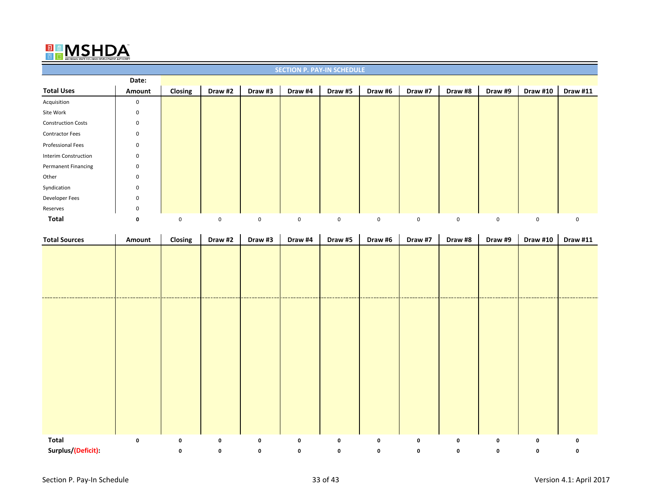## $\frac{\Box}{\Box R}$ ™

| <b>SECTION P. PAY-IN SCHEDULE</b> |             |             |         |             |             |         |             |             |         |         |             |                 |
|-----------------------------------|-------------|-------------|---------|-------------|-------------|---------|-------------|-------------|---------|---------|-------------|-----------------|
|                                   | Date:       |             |         |             |             |         |             |             |         |         |             |                 |
| <b>Total Uses</b>                 | Amount      | Closing     | Draw #2 | Draw #3     | Draw #4     | Draw #5 | Draw #6     | Draw #7     | Draw #8 | Draw #9 | Draw #10    | <b>Draw #11</b> |
| Acquisition                       | 0           |             |         |             |             |         |             |             |         |         |             |                 |
| Site Work                         | 0           |             |         |             |             |         |             |             |         |         |             |                 |
| <b>Construction Costs</b>         | 0           |             |         |             |             |         |             |             |         |         |             |                 |
| <b>Contractor Fees</b>            | 0           |             |         |             |             |         |             |             |         |         |             |                 |
| Professional Fees                 | 0           |             |         |             |             |         |             |             |         |         |             |                 |
| <b>Interim Construction</b>       | 0           |             |         |             |             |         |             |             |         |         |             |                 |
| <b>Permanent Financing</b>        | 0           |             |         |             |             |         |             |             |         |         |             |                 |
| Other                             | $\mathbf 0$ |             |         |             |             |         |             |             |         |         |             |                 |
| Syndication                       | 0           |             |         |             |             |         |             |             |         |         |             |                 |
| Developer Fees                    | 0           |             |         |             |             |         |             |             |         |         |             |                 |
| Reserves                          | 0           |             |         |             |             |         |             |             |         |         |             |                 |
| Total                             | 0           | $\mathbf 0$ | 0       | $\mathbf 0$ | $\mathbf 0$ | 0       | $\mathbf 0$ | $\mathbf 0$ | 0       | 0       | $\mathbf 0$ | 0               |

| <b>Total Sources</b> | Amount    | Closing     | Draw #2     | Draw #3     | Draw #4     | Draw #5     | Draw #6   | Draw #7     | Draw #8     | Draw #9   | <b>Draw #10</b> | <b>Draw #11</b> |
|----------------------|-----------|-------------|-------------|-------------|-------------|-------------|-----------|-------------|-------------|-----------|-----------------|-----------------|
|                      |           |             |             |             |             |             |           |             |             |           |                 |                 |
|                      |           |             |             |             |             |             |           |             |             |           |                 |                 |
|                      |           |             |             |             |             |             |           |             |             |           |                 |                 |
|                      |           |             |             |             |             |             |           |             |             |           |                 |                 |
|                      |           |             |             |             |             |             |           |             |             |           |                 |                 |
|                      |           |             |             |             |             |             |           |             |             |           |                 |                 |
|                      |           |             |             |             |             |             |           |             |             |           |                 |                 |
|                      |           |             |             |             |             |             |           |             |             |           |                 |                 |
|                      |           |             |             |             |             |             |           |             |             |           |                 |                 |
|                      |           |             |             |             |             |             |           |             |             |           |                 |                 |
|                      |           |             |             |             |             |             |           |             |             |           |                 |                 |
|                      |           |             |             |             |             |             |           |             |             |           |                 |                 |
|                      |           |             |             |             |             |             |           |             |             |           |                 |                 |
|                      |           |             |             |             |             |             |           |             |             |           |                 |                 |
|                      |           |             |             |             |             |             |           |             |             |           |                 |                 |
| Total                | $\pmb{0}$ | $\mathbf 0$ | $\mathbf 0$ | $\mathbf 0$ | $\mathbf 0$ | $\mathbf 0$ | $\pmb{0}$ | $\mathbf 0$ | $\mathbf 0$ | $\pmb{0}$ | $\mathbf 0$     | 0               |
| Surplus/(Deficit):   |           | 0           | 0           | 0           | 0           | 0           | 0         | 0           | 0           | 0         | 0               | 0               |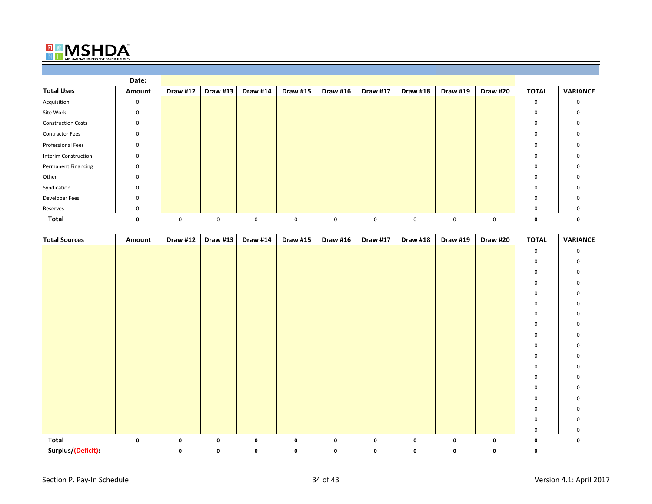## $\frac{E}{E}$ ™

|                             | Date:       |                 |                 |                 |                 |                 |                 |                 |                 |          |              |                 |
|-----------------------------|-------------|-----------------|-----------------|-----------------|-----------------|-----------------|-----------------|-----------------|-----------------|----------|--------------|-----------------|
| <b>Total Uses</b>           | Amount      | <b>Draw #12</b> | <b>Draw #13</b> | <b>Draw #14</b> | <b>Draw #15</b> | <b>Draw #16</b> | <b>Draw #17</b> | <b>Draw #18</b> | <b>Draw #19</b> | Draw #20 | <b>TOTAL</b> | <b>VARIANCE</b> |
| Acquisition                 | $\mathbf 0$ |                 |                 |                 |                 |                 |                 |                 |                 |          | 0            | 0               |
| Site Work                   | $\mathbf 0$ |                 |                 |                 |                 |                 |                 |                 |                 |          | 0            | 0               |
| <b>Construction Costs</b>   | $\mathbf 0$ |                 |                 |                 |                 |                 |                 |                 |                 |          | 0            | 0               |
| <b>Contractor Fees</b>      | $\mathbf 0$ |                 |                 |                 |                 |                 |                 |                 |                 |          | 0            | 0               |
| Professional Fees           | 0           |                 |                 |                 |                 |                 |                 |                 |                 |          | 0            | 0               |
| <b>Interim Construction</b> | $\mathbf 0$ |                 |                 |                 |                 |                 |                 |                 |                 |          | 0            | 0               |
| <b>Permanent Financing</b>  | $\mathbf 0$ |                 |                 |                 |                 |                 |                 |                 |                 |          | 0            | 0               |
| Other                       | $\mathbf 0$ |                 |                 |                 |                 |                 |                 |                 |                 |          | 0            |                 |
| Syndication                 | $\mathbf 0$ |                 |                 |                 |                 |                 |                 |                 |                 |          | $\mathbf 0$  | 0               |
| Developer Fees              | $\mathbf 0$ |                 |                 |                 |                 |                 |                 |                 |                 |          | 0            | 0               |
| Reserves                    | $\mathbf 0$ |                 |                 |                 |                 |                 |                 |                 |                 |          | 0            | 0               |
| Total                       | 0           | $\mathbf 0$     | 0               | $\mathbf 0$     | $\mathbf 0$     | $\mathbf 0$     | 0               | 0               | $\mathbf 0$     | 0        | 0            |                 |

| <b>Total Sources</b> | Amount | Draw #12 | <b>Draw #13</b> | Draw #14 | <b>Draw #15</b> | Draw #16 | Draw #17 | Draw #18 | Draw #19 | <b>Draw #20</b> | <b>TOTAL</b> | <b>VARIANCE</b> |
|----------------------|--------|----------|-----------------|----------|-----------------|----------|----------|----------|----------|-----------------|--------------|-----------------|
|                      |        |          |                 |          |                 |          |          |          |          |                 | 0            | $\Omega$        |
|                      |        |          |                 |          |                 |          |          |          |          |                 | 0            |                 |
|                      |        |          |                 |          |                 |          |          |          |          |                 | 0            |                 |
|                      |        |          |                 |          |                 |          |          |          |          |                 |              |                 |
|                      |        |          |                 |          |                 |          |          |          |          |                 | 0            |                 |
|                      |        |          |                 |          |                 |          |          |          |          |                 | 0            |                 |
|                      |        |          |                 |          |                 |          |          |          |          |                 | 0            |                 |
|                      |        |          |                 |          |                 |          |          |          |          |                 | 0            |                 |
|                      |        |          |                 |          |                 |          |          |          |          |                 |              |                 |
|                      |        |          |                 |          |                 |          |          |          |          |                 | 0            |                 |
|                      |        |          |                 |          |                 |          |          |          |          |                 | 0            |                 |
|                      |        |          |                 |          |                 |          |          |          |          |                 | 0            |                 |
|                      |        |          |                 |          |                 |          |          |          |          |                 | 0            |                 |
|                      |        |          |                 |          |                 |          |          |          |          |                 | 0            |                 |
|                      |        |          |                 |          |                 |          |          |          |          |                 | 0            |                 |
|                      |        |          |                 |          |                 |          |          |          |          |                 | 0            |                 |
|                      |        |          |                 |          |                 |          |          |          |          |                 | 0            |                 |
|                      |        |          |                 |          |                 |          |          |          |          |                 | 0            |                 |
| Total                | 0      | 0        | 0               | 0        | 0               | 0        | 0        | 0        | 0        | 0               | 0            |                 |
| Surplus/(Deficit):   |        | 0        | 0               | 0        | 0               | 0        | 0        | 0        | 0        | 0               | 0            |                 |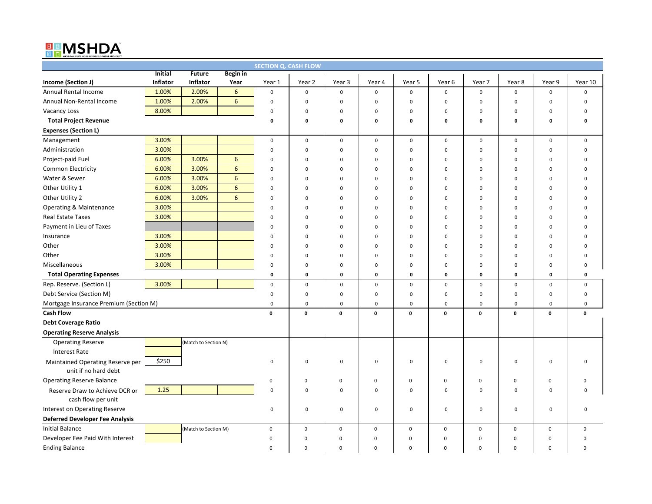# EMSHDA

| <b>SECTION Q. CASH FLOW</b>            |                |                      |                 |             |                     |             |                     |             |                  |                  |              |                     |             |
|----------------------------------------|----------------|----------------------|-----------------|-------------|---------------------|-------------|---------------------|-------------|------------------|------------------|--------------|---------------------|-------------|
|                                        | <b>Initial</b> | <b>Future</b>        | <b>Begin</b> in |             |                     |             |                     |             |                  |                  |              |                     |             |
| Income (Section J)                     | Inflator       | <b>Inflator</b>      | Year            | Year 1      | Year 2              | Year 3      | Year 4              | Year 5      | Year 6           | Year 7           | Year 8       | Year 9              | Year 10     |
| Annual Rental Income                   | 1.00%          | 2.00%                | 6               | $\pmb{0}$   | $\mathsf 0$         | $\mathsf 0$ | $\mathbf 0$         | $\mathbf 0$ | 0                | $\mathbf 0$      | $\mathbf 0$  | $\mathbf 0$         | 0           |
| Annual Non-Rental Income               | 1.00%          | 2.00%                | $6\overline{6}$ | $\pmb{0}$   | 0                   | $\mathbf 0$ | 0                   | $\mathbf 0$ | $\mathbf 0$      | $\mathbf 0$      | 0            | $\mathbf 0$         | $\Omega$    |
| <b>Vacancy Loss</b>                    | 8.00%          |                      |                 | $\pmb{0}$   | 0                   | $\mathbf 0$ | $\mathsf{O}\xspace$ | $\mathbf 0$ | $\mathbf 0$      | $\pmb{0}$        | 0            | $\pmb{0}$           | $\Omega$    |
| <b>Total Project Revenue</b>           |                |                      |                 | $\mathbf 0$ | 0                   | $\mathbf 0$ | 0                   | $\pmb{0}$   | 0                | $\pmb{0}$        | 0            | $\mathbf 0$         | 0           |
| <b>Expenses (Section L)</b>            |                |                      |                 |             |                     |             |                     |             |                  |                  |              |                     |             |
| Management                             | 3.00%          |                      |                 | $\mathbf 0$ | 0                   | $\mathbf 0$ | $\mathsf 0$         | $\pmb{0}$   | $\boldsymbol{0}$ | $\mathbf 0$      | $\mathbf 0$  | $\mathbf 0$         | 0           |
| Administration                         | 3.00%          |                      |                 | $\mathbf 0$ | $\mathbf 0$         | $\mathbf 0$ | $\mathbf 0$         | $\pmb{0}$   | $\mathbf 0$      | $\boldsymbol{0}$ | $\mathbf 0$  | $\mathbf 0$         | $\mathbf 0$ |
| Project-paid Fuel                      | 6.00%          | 3.00%                | 6               | $\mathbf 0$ | $\mathbf 0$         | $\mathbf 0$ | $\mathbf 0$         | $\mathbf 0$ | $\Omega$         | $\mathbf 0$      | $\mathbf 0$  | $\mathbf 0$         | $\Omega$    |
| Common Electricity                     | 6.00%          | 3.00%                | $6\phantom{a}$  | $\mathbf 0$ | $\mathbf 0$         | $\mathbf 0$ | 0                   | $\mathbf 0$ | $\Omega$         | $\mathbf 0$      | 0            | $\mathbf 0$         | $\Omega$    |
| Water & Sewer                          | 6.00%          | 3.00%                | $6\overline{6}$ | $\mathbf 0$ | $\mathbf 0$         | 0           | $\mathbf 0$         | $\mathbf 0$ | $\mathbf 0$      | $\mathbf 0$      | $\mathbf 0$  | $\mathbf 0$         | U           |
| Other Utility 1                        | 6.00%          | 3.00%                | 6               | $\mathbf 0$ | $\mathbf 0$         | $\Omega$    | $\mathbf 0$         | $\mathbf 0$ | $\Omega$         | $\mathbf 0$      | $\mathbf 0$  | $\Omega$            | ŋ           |
| Other Utility 2                        | 6.00%          | 3.00%                | 6               | $\mathbf 0$ | $\mathbf 0$         | $\Omega$    | 0                   | $\mathbf 0$ | $\Omega$         | 0                | $\mathbf 0$  | $\mathbf 0$         | n           |
| <b>Operating &amp; Maintenance</b>     | 3.00%          |                      |                 | $\mathbf 0$ | $\mathsf{O}\xspace$ | $\Omega$    | $\mathsf{O}\xspace$ | $\mathbf 0$ | $\mathbf 0$      | $\mathbf 0$      | $\mathbf{0}$ | $\mathbf 0$         | U           |
| <b>Real Estate Taxes</b>               | 3.00%          |                      |                 | $\mathbf 0$ | $\mathbf 0$         | $\mathbf 0$ | $\mathsf{O}\xspace$ | $\mathbf 0$ | $\Omega$         | $\mathbf 0$      | $\mathbf 0$  | $\mathbf 0$         | $\Omega$    |
| Payment in Lieu of Taxes               |                |                      |                 | $\mathbf 0$ | $\mathbf 0$         | $\Omega$    | $\mathbf 0$         | $\mathbf 0$ | $\Omega$         | $\mathbf 0$      | $\mathbf 0$  | $\mathbf 0$         | $\Omega$    |
| Insurance                              | 3.00%          |                      |                 | $\mathbf 0$ | $\mathbf 0$         | $\Omega$    | $\mathbf 0$         | $\mathbf 0$ | $\Omega$         | $\mathbf 0$      | $\mathbf 0$  | $\mathbf 0$         | $\Omega$    |
| Other                                  | 3.00%          |                      |                 | $\mathbf 0$ | $\mathsf 0$         | $\Omega$    | $\mathsf 0$         | $\mathbf 0$ | $\mathbf 0$      | $\mathbf 0$      | $\mathbf 0$  | $\mathbf 0$         | n           |
| Other                                  | 3.00%          |                      |                 | $\mathbf 0$ | $\mathbf 0$         | $\Omega$    | 0                   | $\mathbf 0$ | $\Omega$         | $\mathbf 0$      | $\mathbf 0$  | $\mathbf 0$         | 0           |
| Miscellaneous                          | 3.00%          |                      |                 | $\mathbf 0$ | $\mathbf 0$         | $\Omega$    | 0                   | $\mathbf 0$ | $\Omega$         | $\mathbf 0$      | $\mathbf 0$  | $\mathbf 0$         | $\Omega$    |
| <b>Total Operating Expenses</b>        |                |                      |                 | $\mathbf 0$ | 0                   | $\mathbf 0$ | 0                   | $\pmb{0}$   | $\mathbf 0$      | 0                | 0            | $\pmb{0}$           | 0           |
| Rep. Reserve. (Section L)              | 3.00%          |                      |                 | $\mathbf 0$ | $\mathsf 0$         | $\mathsf 0$ | $\mathbf 0$         | $\mathsf 0$ | $\mathbf 0$      | $\mathbf 0$      | $\mathbf 0$  | $\mathbf 0$         | $\mathbf 0$ |
| Debt Service (Section M)               |                |                      |                 | $\mathbf 0$ | $\mathsf 0$         | $\Omega$    | $\mathsf 0$         | $\mathbf 0$ | $\mathbf 0$      | $\mathbf 0$      | $\mathbf 0$  | $\mathbf 0$         | $\mathbf 0$ |
| Mortgage Insurance Premium (Section M) |                |                      |                 | $\pmb{0}$   | $\mathsf 0$         | $\mathbf 0$ | $\mathsf 0$         | $\mathbf 0$ | $\mathbf 0$      | $\pmb{0}$        | $\mathbf 0$  | $\mathbf 0$         | 0           |
| <b>Cash Flow</b>                       |                |                      |                 | $\mathbf 0$ | $\mathbf{o}$        | $\mathbf 0$ | $\pmb{0}$           | $\mathbf 0$ | $\mathbf 0$      | $\mathbf 0$      | $\mathbf 0$  | $\pmb{0}$           | $\mathbf 0$ |
| <b>Debt Coverage Ratio</b>             |                |                      |                 |             |                     |             |                     |             |                  |                  |              |                     |             |
| <b>Operating Reserve Analysis</b>      |                |                      |                 |             |                     |             |                     |             |                  |                  |              |                     |             |
| <b>Operating Reserve</b>               |                | (Match to Section N) |                 |             |                     |             |                     |             |                  |                  |              |                     |             |
| <b>Interest Rate</b>                   |                |                      |                 |             |                     |             |                     |             |                  |                  |              |                     |             |
| Maintained Operating Reserve per       | \$250          |                      |                 | $\mathbf 0$ | 0                   | $\mathbf 0$ | $\mathsf{O}\xspace$ | $\pmb{0}$   | $\mathbf 0$      | $\pmb{0}$        | 0            | $\mathbf 0$         | $\Omega$    |
| unit if no hard debt                   |                |                      |                 |             |                     |             |                     |             |                  |                  |              |                     |             |
| <b>Operating Reserve Balance</b>       |                |                      |                 | $\mathbf 0$ | $\mathbf 0$         | $\mathbf 0$ | $\mathbf 0$         | $\mathbf 0$ | $\mathbf 0$      | $\mathbf 0$      | $\mathbf 0$  | $\mathsf{O}\xspace$ | $\Omega$    |
| Reserve Draw to Achieve DCR or         | 1.25           |                      |                 | $\mathbf 0$ | $\mathbf 0$         | $\mathbf 0$ | 0                   | $\mathbf 0$ | $\mathbf 0$      | 0                | 0            | $\mathbf 0$         | $\Omega$    |
| cash flow per unit                     |                |                      |                 |             |                     |             |                     |             |                  |                  |              |                     |             |
| Interest on Operating Reserve          |                |                      |                 | $\mathbf 0$ | $\mathsf 0$         | $\mathbf 0$ | 0                   | $\pmb{0}$   | $\mathbf 0$      | $\mathbf 0$      | $\mathbf 0$  | $\mathbf 0$         | 0           |
| <b>Deferred Developer Fee Analysis</b> |                |                      |                 |             |                     |             |                     |             |                  |                  |              |                     |             |
| <b>Initial Balance</b>                 |                | (Match to Section M) |                 | $\mathbf 0$ | $\mathbf 0$         | $\mathbf 0$ | $\mathsf 0$         | $\mathbf 0$ | $\mathbf 0$      | $\mathbf 0$      | $\mathbf 0$  | $\mathsf{O}\xspace$ | $\mathbf 0$ |
| Developer Fee Paid With Interest       |                |                      |                 | $\Omega$    | $\mathbf 0$         | $\mathbf 0$ | $\mathbf 0$         | $\mathbf 0$ | $\mathbf 0$      | $\mathbf 0$      | $\mathbf 0$  | $\mathsf 0$         | $\Omega$    |
| <b>Ending Balance</b>                  |                |                      |                 | $\mathbf 0$ | $\mathbf 0$         | $\mathbf 0$ | $\mathbf 0$         | $\mathbf 0$ | $\mathbf 0$      | $\mathbf 0$      | $\mathbf 0$  | 0                   | $\mathbf 0$ |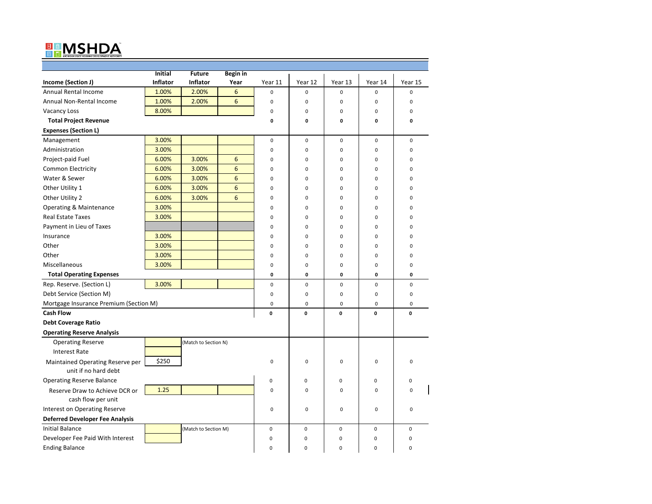# ™

|                                        | <b>Initial</b>  | <b>Future</b>        | <b>Begin</b> in |             |                |          |             |             |
|----------------------------------------|-----------------|----------------------|-----------------|-------------|----------------|----------|-------------|-------------|
| Income (Section J)                     | <b>Inflator</b> | Inflator             | Year            | Year 11     | Year 12        | Year 13  | Year 14     | Year 15     |
| Annual Rental Income                   | 1.00%           | 2.00%                | 6               | $\mathbf 0$ | 0              | 0        | $\mathbf 0$ | $\mathbf 0$ |
| Annual Non-Rental Income               | 1.00%           | 2.00%                | 6               | $\mathbf 0$ | $\mathbf 0$    | 0        | $\mathbf 0$ | $\mathbf 0$ |
| <b>Vacancy Loss</b>                    | 8.00%           |                      |                 | $\pmb{0}$   | 0              | 0        | $\mathbf 0$ | 0           |
| <b>Total Project Revenue</b>           |                 |                      |                 | 0           | 0              | 0        | 0           | 0           |
| <b>Expenses (Section L)</b>            |                 |                      |                 |             |                |          |             |             |
| Management                             | 3.00%           |                      |                 | $\mathbf 0$ | $\mathbf 0$    | 0        | $\mathbf 0$ | $\mathbf 0$ |
| Administration                         | 3.00%           |                      |                 | $\mathbf 0$ | $\mathbf 0$    | 0        | $\mathbf 0$ | $\mathbf 0$ |
| Project-paid Fuel                      | 6.00%           | 3.00%                | 6               | $\mathbf 0$ | $\mathbf 0$    | 0        | $\mathbf 0$ | $\mathbf 0$ |
| <b>Common Electricity</b>              | 6.00%           | 3.00%                | 6               | $\mathbf 0$ | $\overline{0}$ | 0        | 0           | 0           |
| Water & Sewer                          | 6.00%           | 3.00%                | 6               | $\mathbf 0$ | 0              | 0        | $\mathbf 0$ | 0           |
| Other Utility 1                        | 6.00%           | 3.00%                | 6               | 0           | 0              | 0        | $\mathbf 0$ | $\mathbf 0$ |
| Other Utility 2                        | 6.00%           | 3.00%                | 6               | 0           | 0              | 0        | $\mathbf 0$ | $\Omega$    |
| Operating & Maintenance                | 3.00%           |                      |                 | $\mathbf 0$ | 0              | 0        | $\mathbf 0$ | $\Omega$    |
| <b>Real Estate Taxes</b>               | 3.00%           |                      |                 | $\Omega$    | 0              | $\Omega$ | $\mathbf 0$ | $\Omega$    |
| Payment in Lieu of Taxes               |                 |                      |                 | $\mathbf 0$ | $\overline{0}$ | 0        | $\mathbf 0$ | $\Omega$    |
| Insurance                              | 3.00%           |                      |                 | $\mathbf 0$ | 0              | 0        | 0           | 0           |
| Other                                  | 3.00%           |                      |                 | $\mathbf 0$ | 0              | 0        | $\mathbf 0$ | 0           |
| Other                                  | 3.00%           |                      |                 | 0           | 0              | 0        | $\mathbf 0$ | $\mathbf 0$ |
| Miscellaneous                          | 3.00%           |                      |                 | 0           | 0              | 0        | 0           | 0           |
| <b>Total Operating Expenses</b>        |                 |                      |                 | 0           | 0              | 0        | $\mathbf 0$ | 0           |
| Rep. Reserve. (Section L)              | 3.00%           |                      |                 | $\mathbf 0$ | $\mathbf 0$    | 0        | $\mathbf 0$ | $\mathbf 0$ |
| Debt Service (Section M)               |                 |                      |                 | $\pmb{0}$   | $\mathbf 0$    | 0        | $\mathbf 0$ | $\mathbf 0$ |
| Mortgage Insurance Premium (Section M) |                 |                      |                 | $\mathbf 0$ | 0              | 0        | $\mathbf 0$ | $\mathbf 0$ |
| <b>Cash Flow</b>                       |                 |                      |                 | $\mathbf 0$ | 0              | 0        | 0           | 0           |
| <b>Debt Coverage Ratio</b>             |                 |                      |                 |             |                |          |             |             |
| <b>Operating Reserve Analysis</b>      |                 |                      |                 |             |                |          |             |             |
| <b>Operating Reserve</b>               |                 | (Match to Section N) |                 |             |                |          |             |             |
| <b>Interest Rate</b>                   |                 |                      |                 |             |                |          |             |             |
| Maintained Operating Reserve per       | \$250           |                      |                 | $\mathbf 0$ | 0              | $\Omega$ | $\Omega$    | $\Omega$    |
| unit if no hard debt                   |                 |                      |                 |             |                |          |             |             |
| <b>Operating Reserve Balance</b>       |                 |                      |                 | $\mathsf 0$ | 0              | 0        | $\mathbf 0$ | $\mathbf 0$ |
| Reserve Draw to Achieve DCR or         | 1.25            |                      |                 | $\mathbf 0$ | $\mathbf 0$    | 0        | $\mathbf 0$ | $\Omega$    |
| cash flow per unit                     |                 |                      |                 |             |                |          |             |             |
| Interest on Operating Reserve          |                 |                      |                 | $\mathbf 0$ | $\mathbf 0$    | 0        | $\mathbf 0$ | $\mathbf 0$ |
| <b>Deferred Developer Fee Analysis</b> |                 |                      |                 |             |                |          |             |             |
| <b>Initial Balance</b>                 |                 | (Match to Section M) |                 | $\pmb{0}$   | 0              | 0        | $\pmb{0}$   | $\mathbf 0$ |
| Developer Fee Paid With Interest       |                 |                      |                 | 0           | 0              | 0        | 0           | 0           |
| <b>Ending Balance</b>                  |                 |                      |                 | $\Omega$    | 0              | $\Omega$ | $\mathbf 0$ | $\Omega$    |
|                                        |                 |                      |                 |             |                |          |             |             |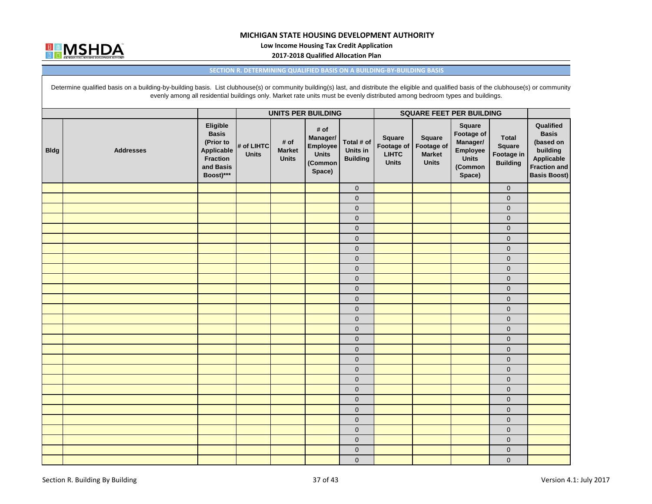

**Low Income Housing Tax Credit Application**

**2017‐2018 Qualified Allocation Plan**

#### **SECTION R. DETERMINING QUALIFIED BASIS ON A BUILDING‐BY‐BUILDING BASIS**

Determine qualified basis on a building-by-building basis. List clubhouse(s) or community building(s) last, and distribute the eligible and qualified basis of the clubhouse(s) or community evenly among all residential buildings only. Market rate units must be evenly distributed among bedroom types and buildings.

|             |                  |                                                                                                  |                            |                                       | <b>UNITS PER BUILDING</b>                                         |                                           | <b>SQUARE FEET PER BUILDING</b>                      |                                                              |                                                                            |                                                         |                                                                                                         |
|-------------|------------------|--------------------------------------------------------------------------------------------------|----------------------------|---------------------------------------|-------------------------------------------------------------------|-------------------------------------------|------------------------------------------------------|--------------------------------------------------------------|----------------------------------------------------------------------------|---------------------------------------------------------|---------------------------------------------------------------------------------------------------------|
| <b>Bldg</b> | <b>Addresses</b> | Eligible<br><b>Basis</b><br>(Prior to<br>Applicable<br><b>Fraction</b><br>and Basis<br>Boost)*** | # of LIHTC<br><b>Units</b> | # of<br><b>Market</b><br><b>Units</b> | # of<br>Manager/<br>Employee<br><b>Units</b><br>(Common<br>Space) | Total # of<br>Units in<br><b>Building</b> | Square<br>Footage of<br><b>LIHTC</b><br><b>Units</b> | <b>Square</b><br>Footage of<br><b>Market</b><br><b>Units</b> | Square<br>Footage of<br>Manager/<br>Employee<br>Units<br>(Common<br>Space) | <b>Total</b><br>Square<br>Footage in<br><b>Building</b> | Qualified<br><b>Basis</b><br>(based on<br>building<br>Applicable<br>Fraction and<br><b>Basis Boost)</b> |
|             |                  |                                                                                                  |                            |                                       |                                                                   | $\mathbf 0$                               |                                                      |                                                              |                                                                            | $\mathbf{0}$                                            |                                                                                                         |
|             |                  |                                                                                                  |                            |                                       |                                                                   | $\pmb{0}$                                 |                                                      |                                                              |                                                                            | $\mathbf{0}$                                            |                                                                                                         |
|             |                  |                                                                                                  |                            |                                       |                                                                   | $\pmb{0}$                                 |                                                      |                                                              |                                                                            | $\mathbf 0$                                             |                                                                                                         |
|             |                  |                                                                                                  |                            |                                       |                                                                   | $\mathbf{0}$                              |                                                      |                                                              |                                                                            | $\mathbf{0}$                                            |                                                                                                         |
|             |                  |                                                                                                  |                            |                                       |                                                                   | $\mathbf 0$                               |                                                      |                                                              |                                                                            | $\mathbf 0$                                             |                                                                                                         |
|             |                  |                                                                                                  |                            |                                       |                                                                   | $\mathbf 0$                               |                                                      |                                                              |                                                                            | $\mathbf{0}$                                            |                                                                                                         |
|             |                  |                                                                                                  |                            |                                       |                                                                   | $\mathbf 0$                               |                                                      |                                                              |                                                                            | $\pmb{0}$                                               |                                                                                                         |
|             |                  |                                                                                                  |                            |                                       |                                                                   | $\mathbf 0$                               |                                                      |                                                              |                                                                            | $\pmb{0}$                                               |                                                                                                         |
|             |                  |                                                                                                  |                            |                                       |                                                                   | $\mathbf 0$                               |                                                      |                                                              |                                                                            | $\mathbf{0}$                                            |                                                                                                         |
|             |                  |                                                                                                  |                            |                                       |                                                                   | $\mathbf{0}$                              |                                                      |                                                              |                                                                            | $\mathbf{0}$                                            |                                                                                                         |
|             |                  |                                                                                                  |                            |                                       |                                                                   | $\mathbf{0}$                              |                                                      |                                                              |                                                                            | $\mathbf{0}$                                            |                                                                                                         |
|             |                  |                                                                                                  |                            |                                       |                                                                   | $\pmb{0}$                                 |                                                      |                                                              |                                                                            | $\mathbf 0$                                             |                                                                                                         |
|             |                  |                                                                                                  |                            |                                       |                                                                   | $\mathbf 0$                               |                                                      |                                                              |                                                                            | $\mathbf{0}$                                            |                                                                                                         |
|             |                  |                                                                                                  |                            |                                       |                                                                   | $\mathbf 0$                               |                                                      |                                                              |                                                                            | $\mathbf 0$                                             |                                                                                                         |
|             |                  |                                                                                                  |                            |                                       |                                                                   | $\mathbf 0$                               |                                                      |                                                              |                                                                            | $\mathbf{0}$                                            |                                                                                                         |
|             |                  |                                                                                                  |                            |                                       |                                                                   | $\mathbf 0$                               |                                                      |                                                              |                                                                            | $\pmb{0}$                                               |                                                                                                         |
|             |                  |                                                                                                  |                            |                                       |                                                                   | $\mathbf 0$                               |                                                      |                                                              |                                                                            | $\pmb{0}$                                               |                                                                                                         |
|             |                  |                                                                                                  |                            |                                       |                                                                   | $\mathbf 0$                               |                                                      |                                                              |                                                                            | $\mathbf 0$                                             |                                                                                                         |
|             |                  |                                                                                                  |                            |                                       |                                                                   | $\mathbf 0$                               |                                                      |                                                              |                                                                            | $\pmb{0}$                                               |                                                                                                         |
|             |                  |                                                                                                  |                            |                                       |                                                                   | $\mathbf 0$                               |                                                      |                                                              |                                                                            | $\pmb{0}$                                               |                                                                                                         |
|             |                  |                                                                                                  |                            |                                       |                                                                   | $\pmb{0}$                                 |                                                      |                                                              |                                                                            | $\pmb{0}$                                               |                                                                                                         |
|             |                  |                                                                                                  |                            |                                       |                                                                   | $\pmb{0}$                                 |                                                      |                                                              |                                                                            | $\mathbf{0}$                                            |                                                                                                         |
|             |                  |                                                                                                  |                            |                                       |                                                                   | $\mathbf 0$                               |                                                      |                                                              |                                                                            | $\mathbf{0}$                                            |                                                                                                         |
|             |                  |                                                                                                  |                            |                                       |                                                                   | $\mathbf 0$                               |                                                      |                                                              |                                                                            | $\mathbf{0}$                                            |                                                                                                         |
|             |                  |                                                                                                  |                            |                                       |                                                                   | $\mathbf{0}$                              |                                                      |                                                              |                                                                            | $\mathbf{0}$                                            |                                                                                                         |
|             |                  |                                                                                                  |                            |                                       |                                                                   | $\mathbf 0$                               |                                                      |                                                              |                                                                            | $\pmb{0}$                                               |                                                                                                         |
|             |                  |                                                                                                  |                            |                                       |                                                                   | $\mathbf 0$                               |                                                      |                                                              |                                                                            | $\mathbf{0}$                                            |                                                                                                         |
|             |                  |                                                                                                  |                            |                                       |                                                                   | $\mathbf 0$                               |                                                      |                                                              |                                                                            | $\pmb{0}$                                               |                                                                                                         |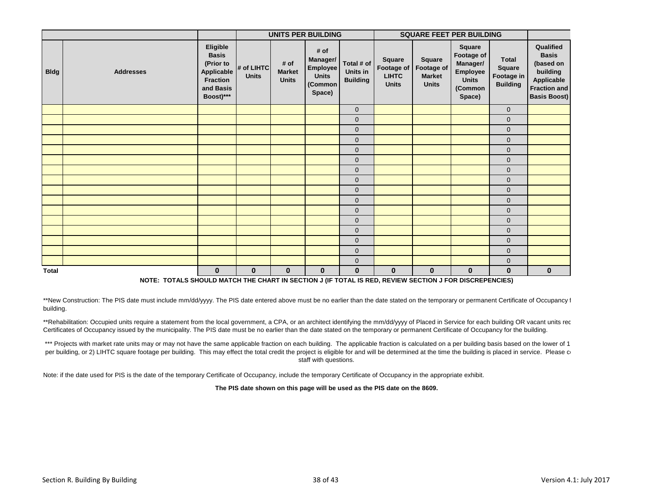|              |                  |                                                                                                  |                            |                                       | <b>UNITS PER BUILDING</b>                                                |                                           | <b>SQUARE FEET PER BUILDING</b>                      |                                                       |                                                                                          |                                                  |                                                                                                                |
|--------------|------------------|--------------------------------------------------------------------------------------------------|----------------------------|---------------------------------------|--------------------------------------------------------------------------|-------------------------------------------|------------------------------------------------------|-------------------------------------------------------|------------------------------------------------------------------------------------------|--------------------------------------------------|----------------------------------------------------------------------------------------------------------------|
| <b>Bldg</b>  | <b>Addresses</b> | Eligible<br><b>Basis</b><br>(Prior to<br>Applicable<br><b>Fraction</b><br>and Basis<br>Boost)*** | # of LIHTC<br><b>Units</b> | # of<br><b>Market</b><br><b>Units</b> | # of<br>Manager/<br><b>Employee</b><br><b>Units</b><br>(Common<br>Space) | Total # of<br>Units in<br><b>Building</b> | Square<br>Footage of<br><b>LIHTC</b><br><b>Units</b> | Square<br>Footage of<br><b>Market</b><br><b>Units</b> | Square<br>Footage of<br>Manager/<br><b>Employee</b><br><b>Units</b><br>(Common<br>Space) | Total<br>Square<br>Footage in<br><b>Building</b> | Qualified<br><b>Basis</b><br>(based on<br>building<br>Applicable<br><b>Fraction and</b><br><b>Basis Boost)</b> |
|              |                  |                                                                                                  |                            |                                       |                                                                          | $\mathbf 0$                               |                                                      |                                                       |                                                                                          | $\mathbf{0}$                                     |                                                                                                                |
|              |                  |                                                                                                  |                            |                                       |                                                                          | $\mathbf 0$                               |                                                      |                                                       |                                                                                          | $\mathbf{0}$                                     |                                                                                                                |
|              |                  |                                                                                                  |                            |                                       |                                                                          | $\mathbf{0}$                              |                                                      |                                                       |                                                                                          | $\mathbf 0$                                      |                                                                                                                |
|              |                  |                                                                                                  |                            |                                       |                                                                          | $\mathbf{0}$                              |                                                      |                                                       |                                                                                          | $\mathbf{0}$                                     |                                                                                                                |
|              |                  |                                                                                                  |                            |                                       |                                                                          | $\mathbf 0$                               |                                                      |                                                       |                                                                                          | $\mathbf 0$                                      |                                                                                                                |
|              |                  |                                                                                                  |                            |                                       |                                                                          | $\mathbf 0$                               |                                                      |                                                       |                                                                                          | $\mathbf 0$                                      |                                                                                                                |
|              |                  |                                                                                                  |                            |                                       |                                                                          | $\mathbf 0$                               |                                                      |                                                       |                                                                                          | $\mathbf 0$                                      |                                                                                                                |
|              |                  |                                                                                                  |                            |                                       |                                                                          | $\mathbf 0$                               |                                                      |                                                       |                                                                                          | $\mathbf 0$                                      |                                                                                                                |
|              |                  |                                                                                                  |                            |                                       |                                                                          | $\mathbf{0}$                              |                                                      |                                                       |                                                                                          | $\mathbf 0$                                      |                                                                                                                |
|              |                  |                                                                                                  |                            |                                       |                                                                          | $\mathbf 0$                               |                                                      |                                                       |                                                                                          | $\mathbf 0$                                      |                                                                                                                |
|              |                  |                                                                                                  |                            |                                       |                                                                          | $\mathbf{0}$                              |                                                      |                                                       |                                                                                          | $\pmb{0}$                                        |                                                                                                                |
|              |                  |                                                                                                  |                            |                                       |                                                                          | $\mathbf 0$                               |                                                      |                                                       |                                                                                          | $\mathbf 0$                                      |                                                                                                                |
|              |                  |                                                                                                  |                            |                                       |                                                                          | $\mathbf 0$                               |                                                      |                                                       |                                                                                          | $\mathbf 0$                                      |                                                                                                                |
|              |                  |                                                                                                  |                            |                                       |                                                                          | $\mathbf{0}$                              |                                                      |                                                       |                                                                                          | $\mathbf 0$                                      |                                                                                                                |
|              |                  |                                                                                                  |                            |                                       |                                                                          | $\mathbf 0$                               |                                                      |                                                       |                                                                                          | $\mathbf 0$                                      |                                                                                                                |
|              |                  |                                                                                                  |                            |                                       |                                                                          | $\mathbf 0$                               |                                                      |                                                       |                                                                                          | $\mathbf 0$                                      |                                                                                                                |
| <b>Total</b> |                  | $\mathbf{0}$                                                                                     | $\mathbf 0$                | $\mathbf{0}$                          | $\mathbf 0$                                                              | $\mathbf 0$                               | $\mathbf{0}$                                         | $\mathbf{0}$                                          | $\mathbf{0}$                                                                             | $\mathbf{0}$                                     | $\mathbf{0}$                                                                                                   |

**NOTE: TOTALS SHOULD MATCH THE CHART IN SECTION J (IF TOTAL IS RED, REVIEW SECTION J FOR DISCREPENCIES)**

\*\*New Construction: The PIS date must include mm/dd/yyyy. The PIS date entered above must be no earlier than the date stated on the temporary or permanent Certificate of Occupancy f building.

\*\*Rehabilitation: Occupied units require a statement from the local government, a CPA, or an architect identifying the mm/dd/yyyy of Placed in Service for each building OR vacant units rec Certificates of Occupancy issued by the municipality. The PIS date must be no earlier than the date stated on the temporary or permanent Certificate of Occupancy for the building.

\*\*\* Projects with market rate units may or may not have the same applicable fraction on each building. The applicable fraction is calculated on a per building basis based on the lower of 1 per building, or 2) LIHTC square footage per building. This may effect the total credit the project is eligible for and will be determined at the time the building is placed in service. Please contacts staff with questions.

Note: if the date used for PIS is the date of the temporary Certificate of Occupancy, include the temporary Certificate of Occupancy in the appropriate exhibit.

**The PIS date shown on this page will be used as the PIS date on the 8609.**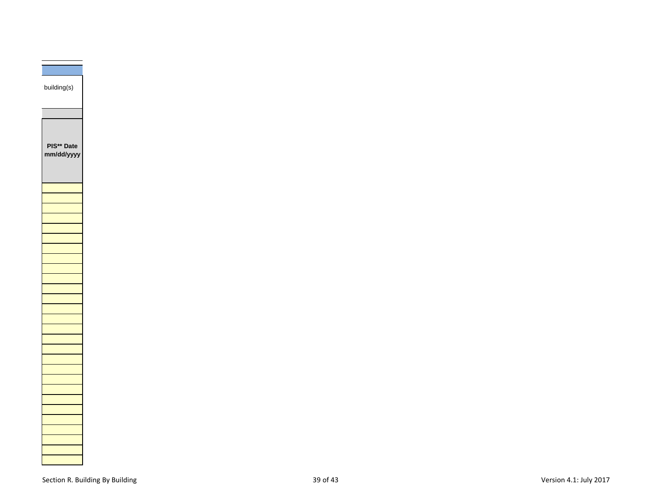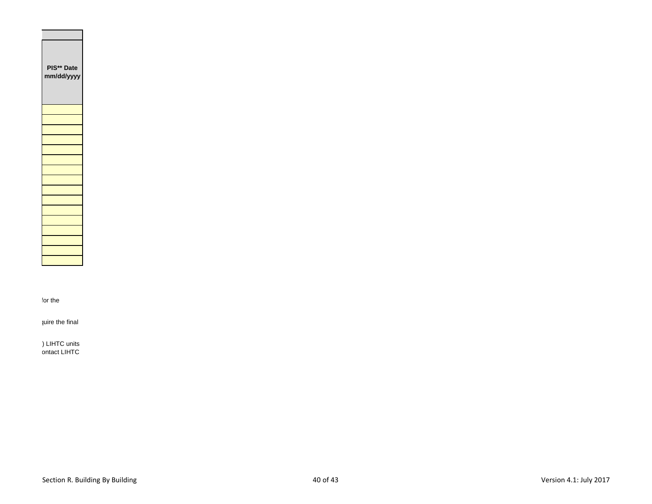| PIS**<br>Date<br>mm/dd/yyyy |
|-----------------------------|
|                             |
|                             |
|                             |
|                             |
|                             |
|                             |
|                             |
|                             |
|                             |
|                             |
|                             |
|                             |
|                             |
|                             |
|                             |
|                             |

for the

quire the final

) LIHTC units ontact LIHTC